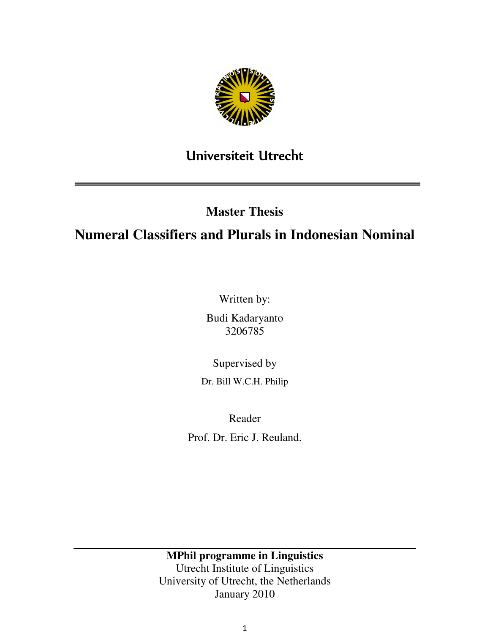

# Universiteit Utrecht

# **Master Thesis**

# **Numeral Classifiers and Plurals in Indonesian Nominal**

Written by:

Budi Kadaryanto 3206785

Supervised by

Dr. Bill W.C.H. Philip

Reader

Prof. Dr. Eric J. Reuland.

**MPhil programme in Linguistics**  Utrecht Institute of Linguistics University of Utrecht, the Netherlands January 2010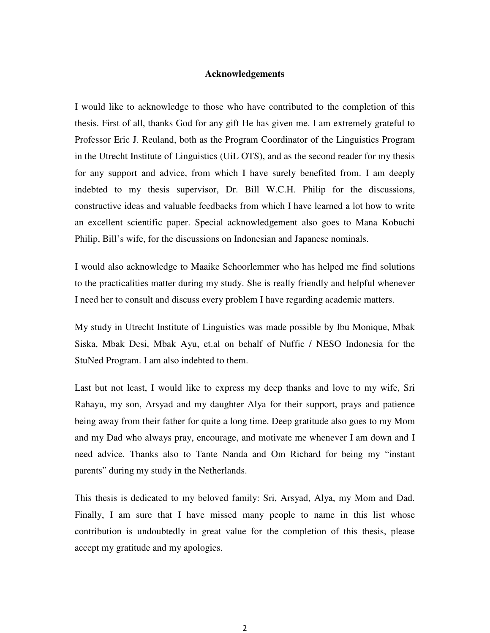#### **Acknowledgements**

I would like to acknowledge to those who have contributed to the completion of this thesis. First of all, thanks God for any gift He has given me. I am extremely grateful to Professor Eric J. Reuland, both as the Program Coordinator of the Linguistics Program in the Utrecht Institute of Linguistics (UiL OTS), and as the second reader for my thesis for any support and advice, from which I have surely benefited from. I am deeply indebted to my thesis supervisor, Dr. Bill W.C.H. Philip for the discussions, constructive ideas and valuable feedbacks from which I have learned a lot how to write an excellent scientific paper. Special acknowledgement also goes to Mana Kobuchi Philip, Bill's wife, for the discussions on Indonesian and Japanese nominals.

I would also acknowledge to Maaike Schoorlemmer who has helped me find solutions to the practicalities matter during my study. She is really friendly and helpful whenever I need her to consult and discuss every problem I have regarding academic matters.

My study in Utrecht Institute of Linguistics was made possible by Ibu Monique, Mbak Siska, Mbak Desi, Mbak Ayu, et.al on behalf of Nuffic / NESO Indonesia for the StuNed Program. I am also indebted to them.

Last but not least, I would like to express my deep thanks and love to my wife, Sri Rahayu, my son, Arsyad and my daughter Alya for their support, prays and patience being away from their father for quite a long time. Deep gratitude also goes to my Mom and my Dad who always pray, encourage, and motivate me whenever I am down and I need advice. Thanks also to Tante Nanda and Om Richard for being my "instant parents" during my study in the Netherlands.

This thesis is dedicated to my beloved family: Sri, Arsyad, Alya, my Mom and Dad. Finally, I am sure that I have missed many people to name in this list whose contribution is undoubtedly in great value for the completion of this thesis, please accept my gratitude and my apologies.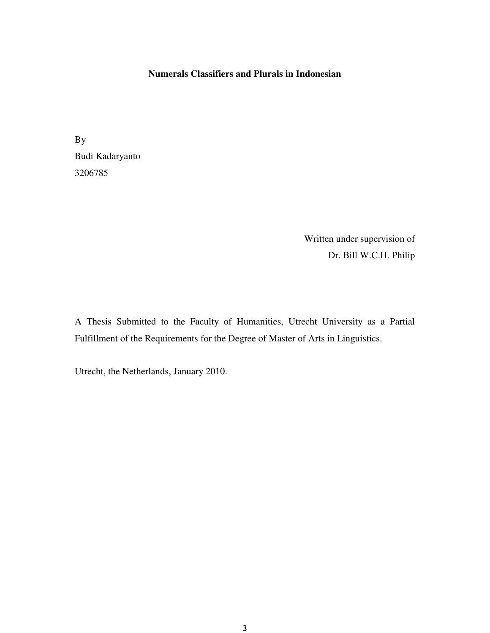**Numerals Classifiers and Plurals in Indonesian** 

By Budi Kadaryanto 3206785

> Written under supervision of Dr. Bill W.C.H. Philip

A Thesis Submitted to the Faculty of Humanities, Utrecht University as a Partial Fulfillment of the Requirements for the Degree of Master of Arts in Linguistics.

Utrecht, the Netherlands, January 2010.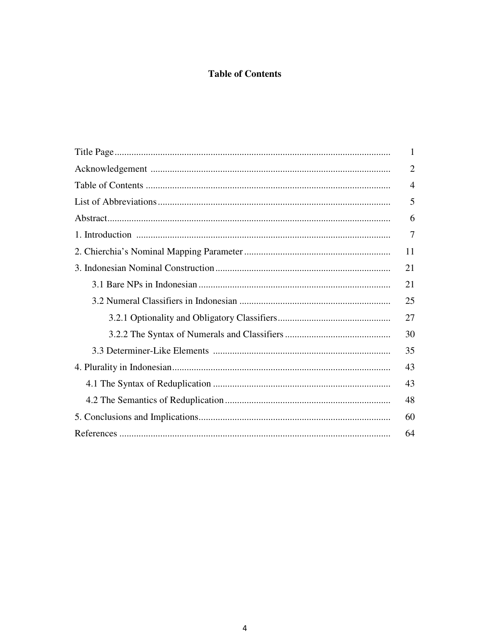# **Table of Contents**

| 1              |
|----------------|
| $\overline{2}$ |
| 4              |
| 5              |
| 6              |
| 7              |
| 11             |
| 21             |
| 21             |
| 25             |
| 27             |
| 30             |
| 35             |
| 43             |
| 43             |
| 48             |
| 60             |
| 64             |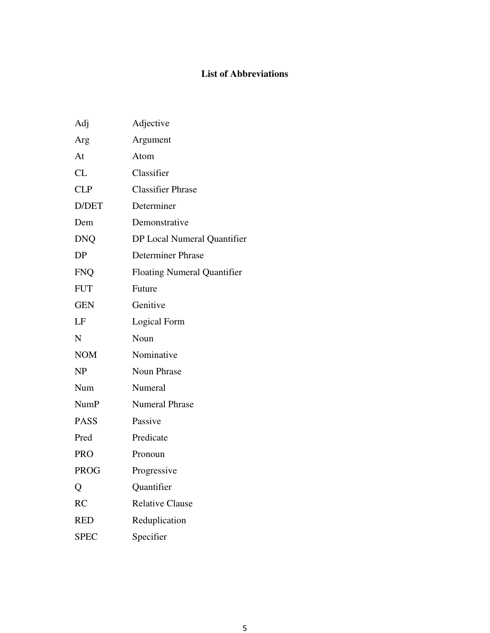# **List of Abbreviations**

| Adj         | Adjective                          |
|-------------|------------------------------------|
| Arg         | Argument                           |
| At          | Atom                               |
| <b>CL</b>   | Classifier                         |
| <b>CLP</b>  | <b>Classifier Phrase</b>           |
| D/DET       | Determiner                         |
| Dem         | Demonstrative                      |
| <b>DNQ</b>  | DP Local Numeral Quantifier        |
| DP          | <b>Determiner Phrase</b>           |
| <b>FNQ</b>  | <b>Floating Numeral Quantifier</b> |
| <b>FUT</b>  | Future                             |
| <b>GEN</b>  | Genitive                           |
| LF          | Logical Form                       |
| $\mathbf N$ | Noun                               |
| <b>NOM</b>  | Nominative                         |
| NP          | <b>Noun Phrase</b>                 |
| Num         | Numeral                            |
| <b>NumP</b> | <b>Numeral Phrase</b>              |
| <b>PASS</b> | Passive                            |
| Pred        | Predicate                          |
| <b>PRO</b>  | Pronoun                            |
| <b>PROG</b> | Progressive                        |
| Q           | Quantifier                         |
| <b>RC</b>   | <b>Relative Clause</b>             |
| <b>RED</b>  | Reduplication                      |
| <b>SPEC</b> |                                    |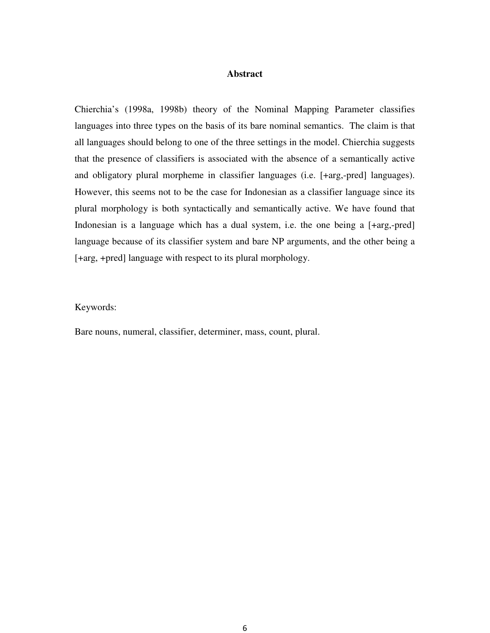### **Abstract**

Chierchia's (1998a, 1998b) theory of the Nominal Mapping Parameter classifies languages into three types on the basis of its bare nominal semantics. The claim is that all languages should belong to one of the three settings in the model. Chierchia suggests that the presence of classifiers is associated with the absence of a semantically active and obligatory plural morpheme in classifier languages (i.e. [+arg,-pred] languages). However, this seems not to be the case for Indonesian as a classifier language since its plural morphology is both syntactically and semantically active. We have found that Indonesian is a language which has a dual system, i.e. the one being a [+arg,-pred] language because of its classifier system and bare NP arguments, and the other being a [+arg, +pred] language with respect to its plural morphology.

# Keywords:

Bare nouns, numeral, classifier, determiner, mass, count, plural.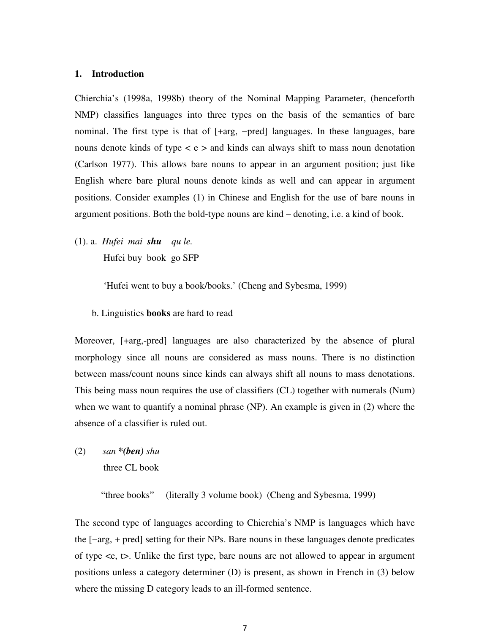#### **1. Introduction**

Chierchia's (1998a, 1998b) theory of the Nominal Mapping Parameter, (henceforth NMP) classifies languages into three types on the basis of the semantics of bare nominal. The first type is that of [+arg, −pred] languages. In these languages, bare nouns denote kinds of type  $\langle e \rangle$  and kinds can always shift to mass noun denotation (Carlson 1977). This allows bare nouns to appear in an argument position; just like English where bare plural nouns denote kinds as well and can appear in argument positions. Consider examples (1) in Chinese and English for the use of bare nouns in argument positions. Both the bold-type nouns are kind – denoting, i.e. a kind of book.

(1). a. *Hufei mai shu qu le.* 

Hufei buy book go SFP

'Hufei went to buy a book/books.' (Cheng and Sybesma, 1999)

b. Linguistics **books** are hard to read

Moreover, [+arg,-pred] languages are also characterized by the absence of plural morphology since all nouns are considered as mass nouns. There is no distinction between mass/count nouns since kinds can always shift all nouns to mass denotations. This being mass noun requires the use of classifiers (CL) together with numerals (Num) when we want to quantify a nominal phrase (NP). An example is given in (2) where the absence of a classifier is ruled out.

(2) *san \*(ben) shu*  three CL book

"three books" (literally 3 volume book) (Cheng and Sybesma, 1999)

The second type of languages according to Chierchia's NMP is languages which have the [−arg, + pred] setting for their NPs. Bare nouns in these languages denote predicates of type  $\leq e$ ,  $\lt$ . Unlike the first type, bare nouns are not allowed to appear in argument positions unless a category determiner (D) is present, as shown in French in (3) below where the missing D category leads to an ill-formed sentence.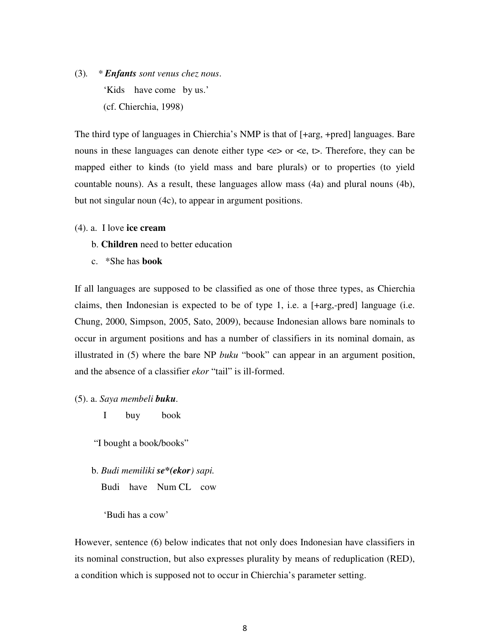(3)*. \* Enfants sont venus chez nous*. 'Kids have come by us.' (cf. Chierchia, 1998)

The third type of languages in Chierchia's NMP is that of [+arg, +pred] languages. Bare nouns in these languages can denote either type <e> or <e, t>. Therefore, they can be mapped either to kinds (to yield mass and bare plurals) or to properties (to yield countable nouns). As a result, these languages allow mass (4a) and plural nouns (4b), but not singular noun (4c), to appear in argument positions.

# (4). a. I love **ice cream**

- b. **Children** need to better education
- c. \*She has **book**

If all languages are supposed to be classified as one of those three types, as Chierchia claims, then Indonesian is expected to be of type 1, i.e. a [+arg,-pred] language (i.e. Chung, 2000, Simpson, 2005, Sato, 2009), because Indonesian allows bare nominals to occur in argument positions and has a number of classifiers in its nominal domain, as illustrated in (5) where the bare NP *buku* "book" can appear in an argument position, and the absence of a classifier *ekor* "tail" is ill-formed.

(5). a. *Saya membeli buku.*

I buy book

"I bought a book/books"

b. *Budi memiliki se\*(ekor) sapi.* 

Budi have Num CL cow

'Budi has a cow'

However, sentence (6) below indicates that not only does Indonesian have classifiers in its nominal construction, but also expresses plurality by means of reduplication (RED), a condition which is supposed not to occur in Chierchia's parameter setting.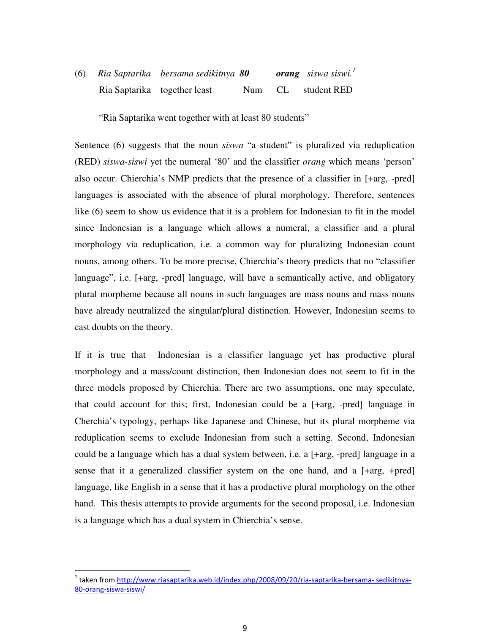(6). *Ria Saptarika bersama sedikitnya 80 orang siswa siswi.<sup>1</sup>* Ria Saptarika together least Num CL student RED

"Ria Saptarika went together with at least 80 students"

Sentence (6) suggests that the noun *siswa* "a student" is pluralized via reduplication (RED) *siswa-siswi* yet the numeral '80' and the classifier *orang* which means 'person' also occur. Chierchia's NMP predicts that the presence of a classifier in [+arg, -pred] languages is associated with the absence of plural morphology. Therefore, sentences like (6) seem to show us evidence that it is a problem for Indonesian to fit in the model since Indonesian is a language which allows a numeral, a classifier and a plural morphology via reduplication, i.e. a common way for pluralizing Indonesian count nouns, among others. To be more precise, Chierchia's theory predicts that no "classifier language", i.e. [+arg, -pred] language, will have a semantically active, and obligatory plural morpheme because all nouns in such languages are mass nouns and mass nouns have already neutralized the singular/plural distinction. However, Indonesian seems to cast doubts on the theory.

If it is true that Indonesian is a classifier language yet has productive plural morphology and a mass/count distinction, then Indonesian does not seem to fit in the three models proposed by Chierchia. There are two assumptions, one may speculate, that could account for this; first, Indonesian could be a [+arg, -pred] language in Cherchia's typology, perhaps like Japanese and Chinese, but its plural morpheme via reduplication seems to exclude Indonesian from such a setting. Second, Indonesian could be a language which has a dual system between, i.e. a [+arg, -pred] language in a sense that it a generalized classifier system on the one hand, and a [+arg, +pred] language, like English in a sense that it has a productive plural morphology on the other hand. This thesis attempts to provide arguments for the second proposal, i.e. Indonesian is a language which has a dual system in Chierchia's sense.

<sup>&</sup>lt;sup>1</sup> taken from <u>http://www.riasaptarika.web.id/index.php/2008/09/20/ria-saptarika-bersama- sedikitnya-</u> 80-orang-siswa-siswi/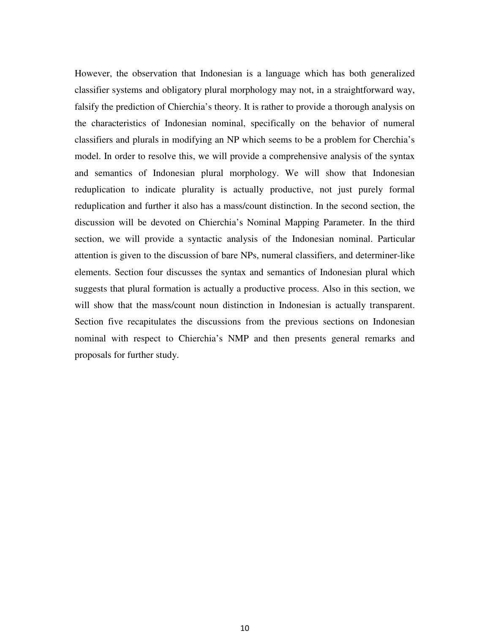However, the observation that Indonesian is a language which has both generalized classifier systems and obligatory plural morphology may not, in a straightforward way, falsify the prediction of Chierchia's theory. It is rather to provide a thorough analysis on the characteristics of Indonesian nominal, specifically on the behavior of numeral classifiers and plurals in modifying an NP which seems to be a problem for Cherchia's model. In order to resolve this, we will provide a comprehensive analysis of the syntax and semantics of Indonesian plural morphology. We will show that Indonesian reduplication to indicate plurality is actually productive, not just purely formal reduplication and further it also has a mass/count distinction. In the second section, the discussion will be devoted on Chierchia's Nominal Mapping Parameter. In the third section, we will provide a syntactic analysis of the Indonesian nominal. Particular attention is given to the discussion of bare NPs, numeral classifiers, and determiner-like elements. Section four discusses the syntax and semantics of Indonesian plural which suggests that plural formation is actually a productive process. Also in this section, we will show that the mass/count noun distinction in Indonesian is actually transparent. Section five recapitulates the discussions from the previous sections on Indonesian nominal with respect to Chierchia's NMP and then presents general remarks and proposals for further study.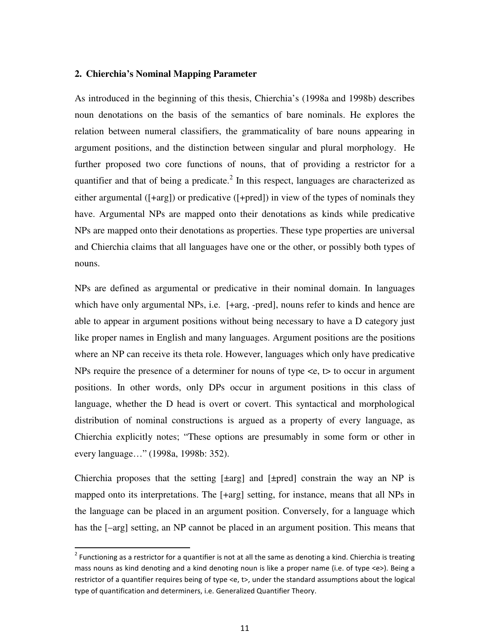#### **2. Chierchia's Nominal Mapping Parameter**

As introduced in the beginning of this thesis, Chierchia's (1998a and 1998b) describes noun denotations on the basis of the semantics of bare nominals. He explores the relation between numeral classifiers, the grammaticality of bare nouns appearing in argument positions, and the distinction between singular and plural morphology. He further proposed two core functions of nouns, that of providing a restrictor for a quantifier and that of being a predicate.<sup>2</sup> In this respect, languages are characterized as either argumental ([+arg]) or predicative ([+pred]) in view of the types of nominals they have. Argumental NPs are mapped onto their denotations as kinds while predicative NPs are mapped onto their denotations as properties. These type properties are universal and Chierchia claims that all languages have one or the other, or possibly both types of nouns.

NPs are defined as argumental or predicative in their nominal domain. In languages which have only argumental NPs, i.e. [+arg, -pred], nouns refer to kinds and hence are able to appear in argument positions without being necessary to have a D category just like proper names in English and many languages. Argument positions are the positions where an NP can receive its theta role. However, languages which only have predicative NPs require the presence of a determiner for nouns of type  $\lt e$ , t to occur in argument positions. In other words, only DPs occur in argument positions in this class of language, whether the D head is overt or covert. This syntactical and morphological distribution of nominal constructions is argued as a property of every language, as Chierchia explicitly notes; "These options are presumably in some form or other in every language…" (1998a, 1998b: 352).

Chierchia proposes that the setting  $[\pm \text{arg}]$  and  $[\pm \text{pred}]$  constrain the way an NP is mapped onto its interpretations. The [+arg] setting, for instance, means that all NPs in the language can be placed in an argument position. Conversely, for a language which has the  $[-arg]$  setting, an NP cannot be placed in an argument position. This means that

 $2$  Functioning as a restrictor for a quantifier is not at all the same as denoting a kind. Chierchia is treating mass nouns as kind denoting and a kind denoting noun is like a proper name (i.e. of type <e>). Being a restrictor of a quantifier requires being of type <e, t>, under the standard assumptions about the logical type of quantification and determiners, i.e. Generalized Quantifier Theory.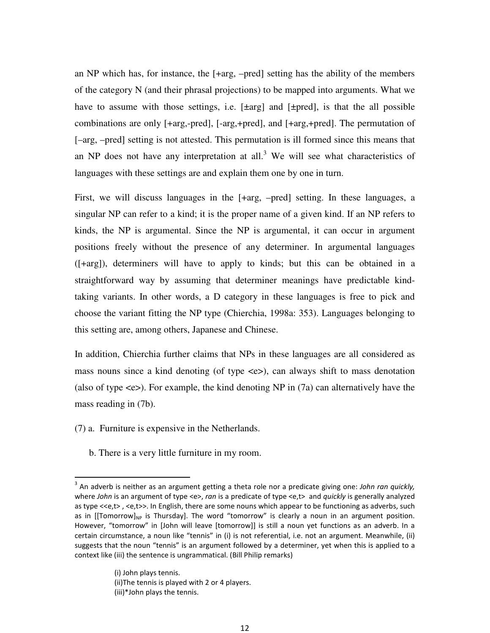an NP which has, for instance, the [+arg, –pred] setting has the ability of the members of the category N (and their phrasal projections) to be mapped into arguments. What we have to assume with those settings, i.e.  $[\pm \arg]$  and  $[\pm \text{pred}]$ , is that the all possible combinations are only [+arg,-pred], [-arg,+pred], and [+arg,+pred]. The permutation of [–arg, –pred] setting is not attested. This permutation is ill formed since this means that an NP does not have any interpretation at all.<sup>3</sup> We will see what characteristics of languages with these settings are and explain them one by one in turn.

First, we will discuss languages in the [+arg, –pred] setting. In these languages, a singular NP can refer to a kind; it is the proper name of a given kind. If an NP refers to kinds, the NP is argumental. Since the NP is argumental, it can occur in argument positions freely without the presence of any determiner. In argumental languages ([+arg]), determiners will have to apply to kinds; but this can be obtained in a straightforward way by assuming that determiner meanings have predictable kindtaking variants. In other words, a D category in these languages is free to pick and choose the variant fitting the NP type (Chierchia, 1998a: 353). Languages belonging to this setting are, among others, Japanese and Chinese.

In addition, Chierchia further claims that NPs in these languages are all considered as mass nouns since a kind denoting (of type  $\langle \langle e \rangle$ ), can always shift to mass denotation (also of type  $\langle e \rangle$ ). For example, the kind denoting NP in (7a) can alternatively have the mass reading in (7b).

- (7) a. Furniture is expensive in the Netherlands.
	- b. There is a very little furniture in my room.

(i) John plays tennis.

- (ii)The tennis is played with 2 or 4 players.
- (iii)\*John plays the tennis.

 $3$  An adverb is neither as an argument getting a theta role nor a predicate giving one: John ran quickly, where John is an argument of type  $\langle e \rangle$ , ran is a predicate of type  $\langle e, t \rangle$  and quickly is generally analyzed as type <<e,t>, <e,t>>. In English, there are some nouns which appear to be functioning as adverbs, such as in  $[[Tomorrow]_{NP}$  is Thursday]. The word "tomorrow" is clearly a noun in an argument position. However, "tomorrow" in [John will leave [tomorrow]] is still a noun yet functions as an adverb. In a certain circumstance, a noun like "tennis" in (i) is not referential, i.e. not an argument. Meanwhile, (ii) suggests that the noun "tennis" is an argument followed by a determiner, yet when this is applied to a context like (iii) the sentence is ungrammatical. (Bill Philip remarks)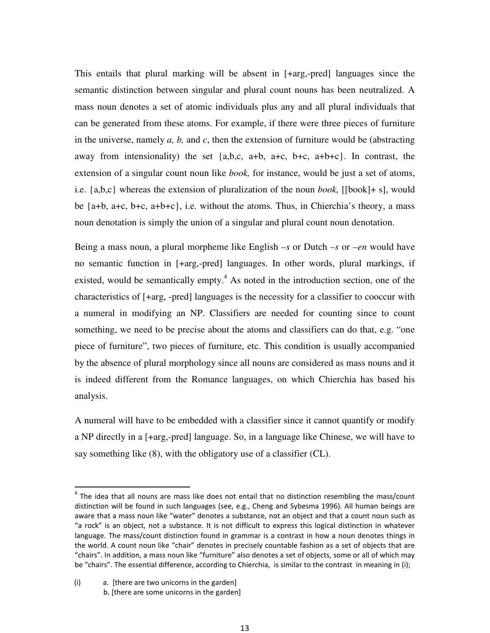This entails that plural marking will be absent in [+arg,-pred] languages since the semantic distinction between singular and plural count nouns has been neutralized. A mass noun denotes a set of atomic individuals plus any and all plural individuals that can be generated from these atoms. For example, if there were three pieces of furniture in the universe, namely *a, b,* and *c*, then the extension of furniture would be (abstracting away from intensionality) the set  $\{a,b,c, a+b, a+c, b+c, a+b+c\}$ . In contrast, the extension of a singular count noun like *book,* for instance, would be just a set of atoms, i.e. {a,b,c} whereas the extension of pluralization of the noun *book,* [[book]+ s], would be {a+b, a+c, b+c, a+b+c}, i.e. without the atoms. Thus, in Chierchia's theory, a mass noun denotation is simply the union of a singular and plural count noun denotation.

Being a mass noun, a plural morpheme like English *–s* or Dutch *–s* or *–en* would have no semantic function in [+arg,-pred] languages. In other words, plural markings, if existed, would be semantically empty.<sup>4</sup> As noted in the introduction section, one of the characteristics of [+arg, -pred] languages is the necessity for a classifier to cooccur with a numeral in modifying an NP. Classifiers are needed for counting since to count something, we need to be precise about the atoms and classifiers can do that, e.g. "one piece of furniture", two pieces of furniture, etc. This condition is usually accompanied by the absence of plural morphology since all nouns are considered as mass nouns and it is indeed different from the Romance languages, on which Chierchia has based his analysis.

A numeral will have to be embedded with a classifier since it cannot quantify or modify a NP directly in a [+arg,-pred] language. So, in a language like Chinese, we will have to say something like (8), with the obligatory use of a classifier (CL).

 $<sup>4</sup>$  The idea that all nouns are mass like does not entail that no distinction resembling the mass/count</sup> distinction will be found in such languages (see, e.g., Cheng and Sybesma 1996). All human beings are aware that a mass noun like "water" denotes a substance, not an object and that a count noun such as "a rock" is an object, not a substance. It is not difficult to express this logical distinction in whatever language. The mass/count distinction found in grammar is a contrast in how a noun denotes things in the world. A count noun like "chair" denotes in precisely countable fashion as a set of objects that are "chairs". In addition, a mass noun like "furniture" also denotes a set of objects, some or all of which may be "chairs". The essential difference, according to Chierchia, is similar to the contrast in meaning in (i);

<sup>(</sup>i) a. [there are two unicorns in the garden] b. [there are some unicorns in the garden]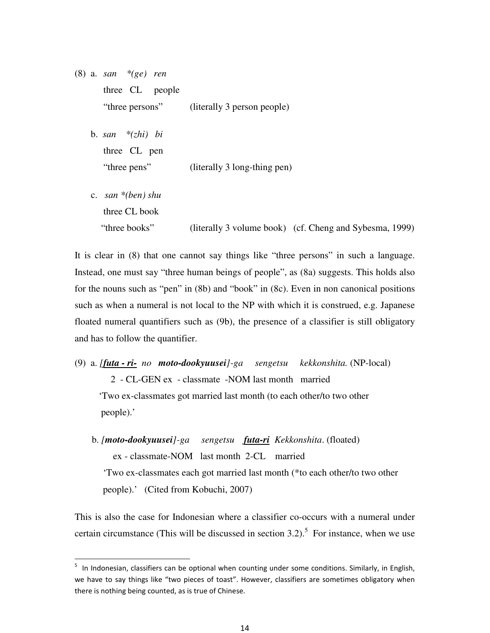(8) a. *san \*(ge) ren* 

 three CL people "three persons" (literally 3 person people)

 b. *san \*(zhi) bi*  three CL pen

l

"three pens" (literally 3 long-thing pen)

 c. *san \*(ben) shu*  three CL book "three books" (literally 3 volume book) (cf. Cheng and Sybesma, 1999)

It is clear in (8) that one cannot say things like "three persons" in such a language. Instead, one must say "three human beings of people", as (8a) suggests. This holds also for the nouns such as "pen" in (8b) and "book" in (8c). Even in non canonical positions such as when a numeral is not local to the NP with which it is construed, e.g. Japanese floated numeral quantifiers such as (9b), the presence of a classifier is still obligatory and has to follow the quantifier.

- (9) a. *[futa ri- no moto-dookyuusei]-ga sengetsu kekkonshita.* (NP-local) 2 - CL-GEN ex - classmate -NOM last month married 'Two ex-classmates got married last month (to each other/to two other people).'
	- b. *[moto-dookyuusei]-ga sengetsu futa-ri Kekkonshita*. (floated) ex - classmate-NOM last month 2-CL married 'Two ex-classmates each got married last month (\*to each other/to two other people).' (Cited from Kobuchi, 2007)

This is also the case for Indonesian where a classifier co-occurs with a numeral under certain circumstance (This will be discussed in section 3.2).<sup>5</sup> For instance, when we use

<sup>&</sup>lt;sup>5</sup> In Indonesian, classifiers can be optional when counting under some conditions. Similarly, in English, we have to say things like "two pieces of toast". However, classifiers are sometimes obligatory when there is nothing being counted, as is true of Chinese.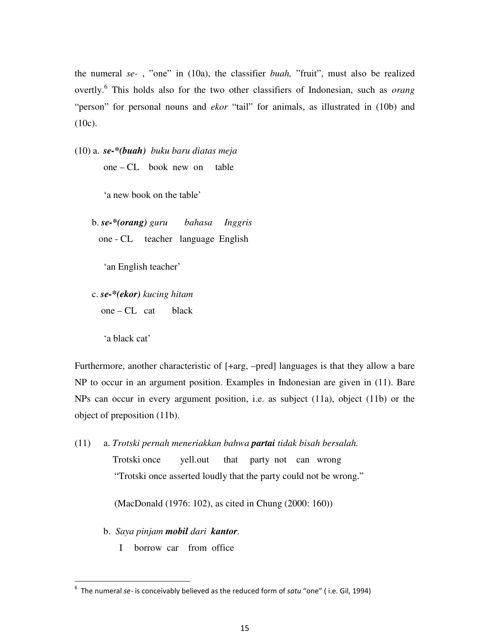the numeral *se-* , "one" in (10a), the classifier *buah,* "fruit", must also be realized overtly.<sup>6</sup> This holds also for the two other classifiers of Indonesian, such as *orang* "person" for personal nouns and *ekor* "tail" for animals, as illustrated in (10b) and (10c).

(10) a. *se-\*(buah) buku baru diatas meja*  one – CL book new on table

'a new book on the table'

 b. *se-\*(orang) guru bahasa Inggris*  one - CL teacher language English

'an English teacher'

 c. *se-\*(ekor) kucing hitam* one – CL cat black

'a black cat'

l

Furthermore, another characteristic of [+arg, –pred] languages is that they allow a bare NP to occur in an argument position. Examples in Indonesian are given in (11). Bare NPs can occur in every argument position, i.e. as subject (11a), object (11b) or the object of preposition (11b).

(11) a. *Trotski pernah meneriakkan bahwa partai tidak bisah bersalah.*  Trotski once yell.out that party not can wrong "Trotski once asserted loudly that the party could not be wrong."

(MacDonald (1976: 102), as cited in Chung (2000: 160))

- b. *Saya pinjam mobil dari kantor.* 
	- I borrow car from office

 $6$  The numeral se- is conceivably believed as the reduced form of satu "one" (i.e. Gil, 1994)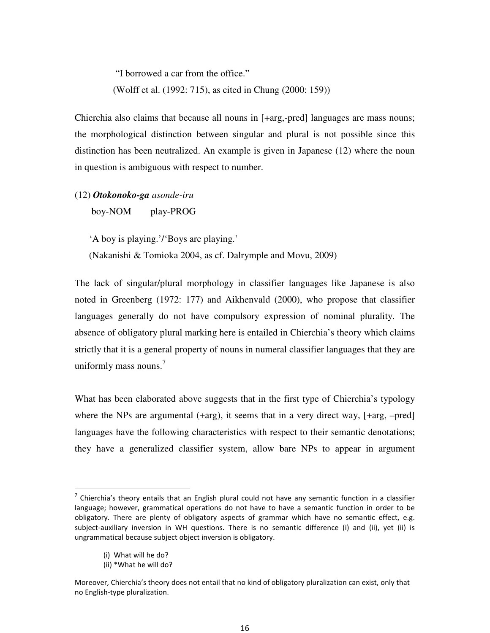"I borrowed a car from the office." (Wolff et al. (1992: 715), as cited in Chung (2000: 159))

Chierchia also claims that because all nouns in [+arg,-pred] languages are mass nouns; the morphological distinction between singular and plural is not possible since this distinction has been neutralized. An example is given in Japanese (12) where the noun in question is ambiguous with respect to number.

# (12) *Otokonoko-ga asonde-iru*

boy-NOM play-PROG

'A boy is playing.'/'Boys are playing.'

(Nakanishi & Tomioka 2004, as cf. Dalrymple and Movu, 2009)

The lack of singular/plural morphology in classifier languages like Japanese is also noted in Greenberg (1972: 177) and Aikhenvald (2000), who propose that classifier languages generally do not have compulsory expression of nominal plurality. The absence of obligatory plural marking here is entailed in Chierchia's theory which claims strictly that it is a general property of nouns in numeral classifier languages that they are uniformly mass nouns.<sup>7</sup>

What has been elaborated above suggests that in the first type of Chierchia's typology where the NPs are argumental (+arg), it seems that in a very direct way, [+arg, –pred] languages have the following characteristics with respect to their semantic denotations; they have a generalized classifier system, allow bare NPs to appear in argument

(i) What will he do?

(ii) \*What he will do?

 $<sup>7</sup>$  Chierchia's theory entails that an English plural could not have any semantic function in a classifier</sup> language; however, grammatical operations do not have to have a semantic function in order to be obligatory. There are plenty of obligatory aspects of grammar which have no semantic effect, e.g. subject-auxiliary inversion in WH questions. There is no semantic difference (i) and (ii), yet (ii) is ungrammatical because subject object inversion is obligatory.

Moreover, Chierchia's theory does not entail that no kind of obligatory pluralization can exist, only that no English-type pluralization.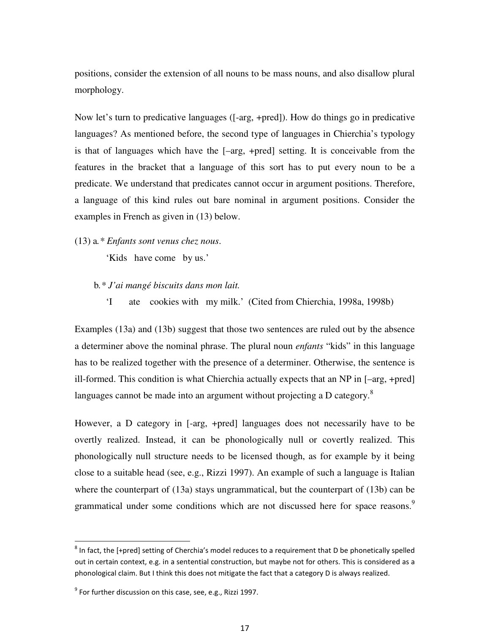positions, consider the extension of all nouns to be mass nouns, and also disallow plural morphology.

Now let's turn to predicative languages ([-arg, +pred]). How do things go in predicative languages? As mentioned before, the second type of languages in Chierchia's typology is that of languages which have the [–arg, +pred] setting. It is conceivable from the features in the bracket that a language of this sort has to put every noun to be a predicate. We understand that predicates cannot occur in argument positions. Therefore, a language of this kind rules out bare nominal in argument positions. Consider the examples in French as given in (13) below.

(13) a*.\* Enfants sont venus chez nous*.

'Kids have come by us.'

b*.\* J'ai mangé biscuits dans mon lait.* 

'I ate cookies with my milk.' (Cited from Chierchia, 1998a, 1998b)

Examples (13a) and (13b) suggest that those two sentences are ruled out by the absence a determiner above the nominal phrase. The plural noun *enfants* "kids" in this language has to be realized together with the presence of a determiner. Otherwise, the sentence is ill-formed. This condition is what Chierchia actually expects that an NP in [–arg, +pred] languages cannot be made into an argument without projecting a D category.<sup>8</sup>

However, a D category in [-arg, +pred] languages does not necessarily have to be overtly realized. Instead, it can be phonologically null or covertly realized. This phonologically null structure needs to be licensed though, as for example by it being close to a suitable head (see, e.g., Rizzi 1997). An example of such a language is Italian where the counterpart of (13a) stays ungrammatical, but the counterpart of (13b) can be grammatical under some conditions which are not discussed here for space reasons.<sup>9</sup>

 $^8$  In fact, the [+pred] setting of Cherchia's model reduces to a requirement that D be phonetically spelled out in certain context, e.g. in a sentential construction, but maybe not for others. This is considered as a phonological claim. But I think this does not mitigate the fact that a category D is always realized.

 $9$  For further discussion on this case, see, e.g., Rizzi 1997.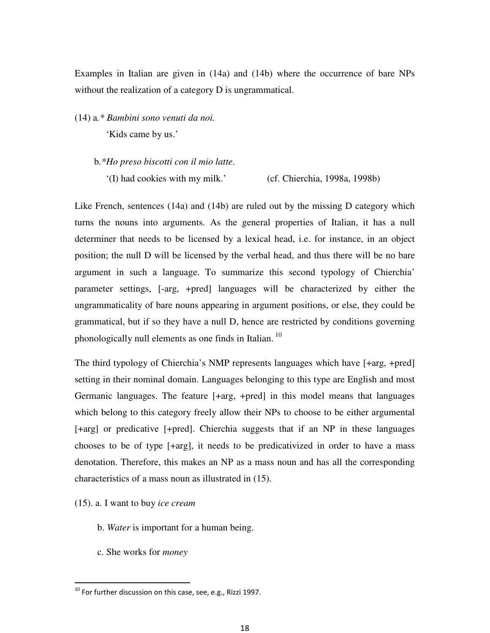Examples in Italian are given in (14a) and (14b) where the occurrence of bare NPs without the realization of a category D is ungrammatical.

(14) a*.\* Bambini sono venuti da noi.*  'Kids came by us.'

b*.\*Ho preso biscotti con il mio latte*.

'(I) had cookies with my milk.' (cf. Chierchia, 1998a, 1998b)

Like French, sentences (14a) and (14b) are ruled out by the missing D category which turns the nouns into arguments. As the general properties of Italian, it has a null determiner that needs to be licensed by a lexical head, i.e. for instance, in an object position; the null D will be licensed by the verbal head, and thus there will be no bare argument in such a language. To summarize this second typology of Chierchia' parameter settings, [-arg, +pred] languages will be characterized by either the ungrammaticality of bare nouns appearing in argument positions, or else, they could be grammatical, but if so they have a null D, hence are restricted by conditions governing phonologically null elements as one finds in Italian.<sup>10</sup>

The third typology of Chierchia's NMP represents languages which have [+arg, +pred] setting in their nominal domain. Languages belonging to this type are English and most Germanic languages. The feature [+arg, +pred] in this model means that languages which belong to this category freely allow their NPs to choose to be either argumental [+arg] or predicative [+pred]. Chierchia suggests that if an NP in these languages chooses to be of type [+arg], it needs to be predicativized in order to have a mass denotation. Therefore, this makes an NP as a mass noun and has all the corresponding characteristics of a mass noun as illustrated in (15).

(15). a. I want to buy *ice cream* 

- b. *Water* is important for a human being.
- c. She works for *money*

 $10$  For further discussion on this case, see, e.g., Rizzi 1997.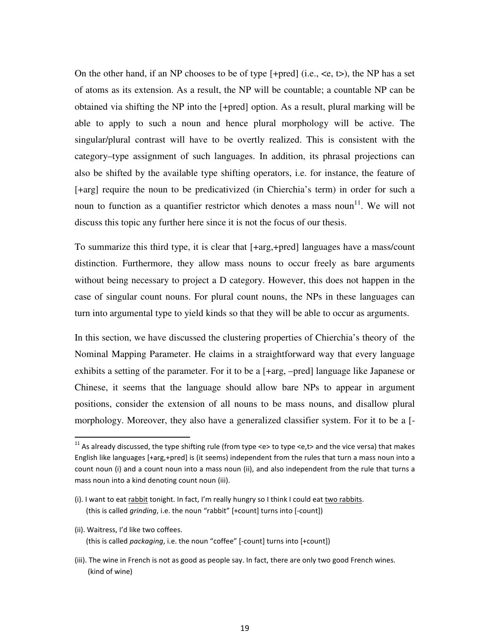On the other hand, if an NP chooses to be of type  $[+pred]$  (i.e.,  $\ll e$ ,  $\lt$ ), the NP has a set of atoms as its extension. As a result, the NP will be countable; a countable NP can be obtained via shifting the NP into the [+pred] option. As a result, plural marking will be able to apply to such a noun and hence plural morphology will be active. The singular/plural contrast will have to be overtly realized. This is consistent with the category–type assignment of such languages. In addition, its phrasal projections can also be shifted by the available type shifting operators, i.e. for instance, the feature of [+arg] require the noun to be predicativized (in Chierchia's term) in order for such a noun to function as a quantifier restrictor which denotes a mass noun<sup>11</sup>. We will not discuss this topic any further here since it is not the focus of our thesis.

To summarize this third type, it is clear that [+arg,+pred] languages have a mass/count distinction. Furthermore, they allow mass nouns to occur freely as bare arguments without being necessary to project a D category. However, this does not happen in the case of singular count nouns. For plural count nouns, the NPs in these languages can turn into argumental type to yield kinds so that they will be able to occur as arguments.

In this section, we have discussed the clustering properties of Chierchia's theory of the Nominal Mapping Parameter. He claims in a straightforward way that every language exhibits a setting of the parameter. For it to be a [+arg, –pred] language like Japanese or Chinese, it seems that the language should allow bare NPs to appear in argument positions, consider the extension of all nouns to be mass nouns, and disallow plural morphology. Moreover, they also have a generalized classifier system. For it to be a [-

(ii). Waitress, I'd like two coffees. (this is called packaging, i.e. the noun "coffee" [-count] turns into [+count])

<sup>&</sup>lt;sup>11</sup> As already discussed, the type shifting rule (from type <e> to type <e,t> and the vice versa) that makes English like languages [+arg,+pred] is (it seems) independent from the rules that turn a mass noun into a count noun (i) and a count noun into a mass noun (ii), and also independent from the rule that turns a mass noun into a kind denoting count noun (iii).

<sup>(</sup>i). I want to eat rabbit tonight. In fact, I'm really hungry so I think I could eat two rabbits. (this is called grinding, i.e. the noun "rabbit" [+count] turns into [-count])

<sup>(</sup>iii). The wine in French is not as good as people say. In fact, there are only two good French wines. (kind of wine)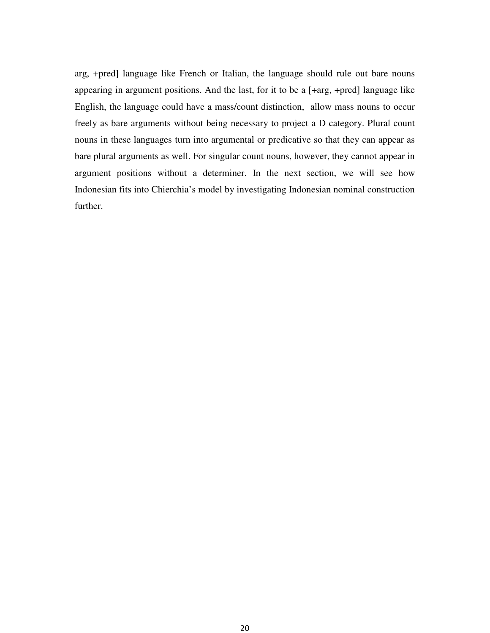arg, +pred] language like French or Italian, the language should rule out bare nouns appearing in argument positions. And the last, for it to be a [+arg, +pred] language like English, the language could have a mass/count distinction, allow mass nouns to occur freely as bare arguments without being necessary to project a D category. Plural count nouns in these languages turn into argumental or predicative so that they can appear as bare plural arguments as well. For singular count nouns, however, they cannot appear in argument positions without a determiner. In the next section, we will see how Indonesian fits into Chierchia's model by investigating Indonesian nominal construction further.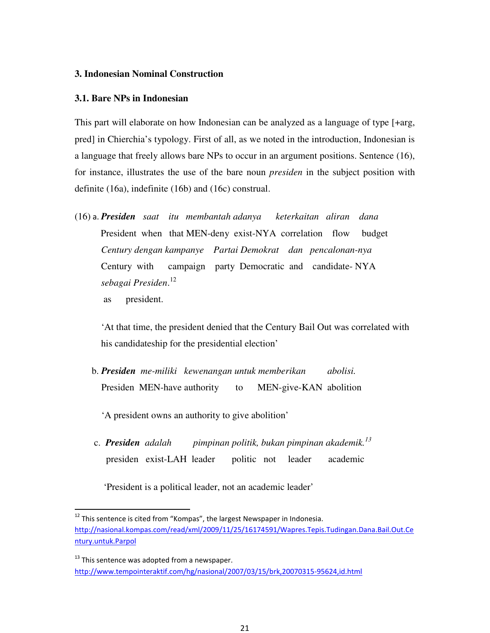# **3. Indonesian Nominal Construction**

# **3.1. Bare NPs in Indonesian**

This part will elaborate on how Indonesian can be analyzed as a language of type [+arg, pred] in Chierchia's typology. First of all, as we noted in the introduction, Indonesian is a language that freely allows bare NPs to occur in an argument positions. Sentence (16), for instance, illustrates the use of the bare noun *presiden* in the subject position with definite (16a), indefinite (16b) and (16c) construal.

(16) a. *Presiden saat itu membantah adanya keterkaitan aliran dana*  President when that MEN-deny exist-NYA correlation flow budget *Century dengan kampanye Partai Demokrat dan pencalonan-nya*  Century with campaign party Democratic and candidate- NYA *sebagai Presiden*. 12

as president.

l

'At that time, the president denied that the Century Bail Out was correlated with his candidateship for the presidential election'

b. *Presiden me-miliki kewenangan untuk memberikan abolisi.* Presiden MEN-have authority to MEN-give-KAN abolition

'A president owns an authority to give abolition'

 c. *Presiden adalah pimpinan politik, bukan pimpinan akademik.<sup>13</sup>* presiden exist-LAH leader politic not leader academic

'President is a political leader, not an academic leader'

 $12$  This sentence is cited from "Kompas", the largest Newspaper in Indonesia. http://nasional.kompas.com/read/xml/2009/11/25/16174591/Wapres.Tepis.Tudingan.Dana.Bail.Out.Ce ntury.untuk.Parpol

 $13$  This sentence was adopted from a newspaper. http://www.tempointeraktif.com/hg/nasional/2007/03/15/brk,20070315-95624,id.html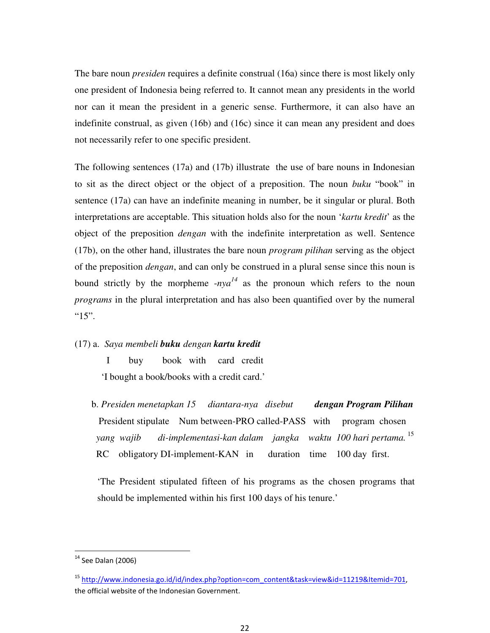The bare noun *presiden* requires a definite construal (16a) since there is most likely only one president of Indonesia being referred to. It cannot mean any presidents in the world nor can it mean the president in a generic sense. Furthermore, it can also have an indefinite construal, as given (16b) and (16c) since it can mean any president and does not necessarily refer to one specific president.

The following sentences (17a) and (17b) illustrate the use of bare nouns in Indonesian to sit as the direct object or the object of a preposition. The noun *buku* "book" in sentence (17a) can have an indefinite meaning in number, be it singular or plural. Both interpretations are acceptable. This situation holds also for the noun '*kartu kredit*' as the object of the preposition *dengan* with the indefinite interpretation as well. Sentence (17b), on the other hand, illustrates the bare noun *program pilihan* serving as the object of the preposition *dengan*, and can only be construed in a plural sense since this noun is bound strictly by the morpheme  $-nya^{14}$  as the pronoun which refers to the noun *programs* in the plural interpretation and has also been quantified over by the numeral  $"15"$ .

(17) a. *Saya membeli buku dengan kartu kredit*

 I buy book with card credit 'I bought a book/books with a credit card.'

 b. *Presiden menetapkan 15 diantara-nya disebut dengan Program Pilihan* President stipulate Num between-PRO called-PASS with program chosen *yang wajib di-implementasi-kan dalam jangka waktu 100 hari pertama.*<sup>15</sup> RC obligatory DI-implement-KAN in duration time 100 day first.

 'The President stipulated fifteen of his programs as the chosen programs that should be implemented within his first 100 days of his tenure.'

 $14$  See Dalan (2006)

<sup>15</sup> http://www.indonesia.go.id/id/index.php?option=com\_content&task=view&id=11219&Itemid=701, the official website of the Indonesian Government.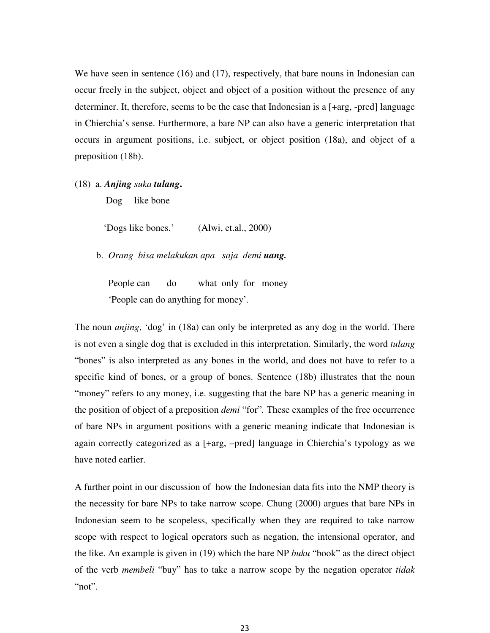We have seen in sentence (16) and (17), respectively, that bare nouns in Indonesian can occur freely in the subject, object and object of a position without the presence of any determiner. It, therefore, seems to be the case that Indonesian is a [+arg, -pred] language in Chierchia's sense. Furthermore, a bare NP can also have a generic interpretation that occurs in argument positions, i.e. subject, or object position (18a), and object of a preposition (18b).

(18) a. *Anjing suka tulang***.**

Dog like bone

'Dogs like bones.' (Alwi, et.al., 2000)

b. *Orang bisa melakukan apa saja demi uang.* 

People can do what only for money 'People can do anything for money'.

The noun *anjing*, 'dog' in (18a) can only be interpreted as any dog in the world. There is not even a single dog that is excluded in this interpretation. Similarly, the word *tulang*  "bones" is also interpreted as any bones in the world, and does not have to refer to a specific kind of bones, or a group of bones. Sentence (18b) illustrates that the noun "money" refers to any money, i.e. suggesting that the bare NP has a generic meaning in the position of object of a preposition *demi* "for"*.* These examples of the free occurrence of bare NPs in argument positions with a generic meaning indicate that Indonesian is again correctly categorized as a [+arg, –pred] language in Chierchia's typology as we have noted earlier.

A further point in our discussion of how the Indonesian data fits into the NMP theory is the necessity for bare NPs to take narrow scope. Chung (2000) argues that bare NPs in Indonesian seem to be scopeless, specifically when they are required to take narrow scope with respect to logical operators such as negation, the intensional operator, and the like. An example is given in (19) which the bare NP *buku* "book" as the direct object of the verb *membeli* "buy" has to take a narrow scope by the negation operator *tidak* "not".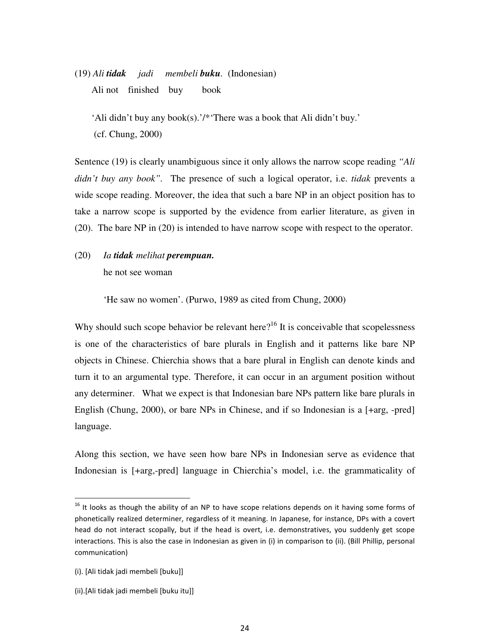(19) *Ali tidak jadi membeli buku.* (Indonesian) Ali not finished buy book

 'Ali didn't buy any book(s).'/\*'There was a book that Ali didn't buy.' (cf. Chung, 2000)

Sentence (19) is clearly unambiguous since it only allows the narrow scope reading *"Ali didn't buy any book".* The presence of such a logical operator, i.e. *tidak* prevents a wide scope reading. Moreover, the idea that such a bare NP in an object position has to take a narrow scope is supported by the evidence from earlier literature, as given in (20). The bare NP in (20) is intended to have narrow scope with respect to the operator.

# (20) *Ia tidak melihat perempuan.* he not see woman

'He saw no women'. (Purwo, 1989 as cited from Chung, 2000)

Why should such scope behavior be relevant here?<sup>16</sup> It is conceivable that scopelessness is one of the characteristics of bare plurals in English and it patterns like bare NP objects in Chinese. Chierchia shows that a bare plural in English can denote kinds and turn it to an argumental type. Therefore, it can occur in an argument position without any determiner. What we expect is that Indonesian bare NPs pattern like bare plurals in English (Chung, 2000), or bare NPs in Chinese, and if so Indonesian is a [+arg, -pred] language.

Along this section, we have seen how bare NPs in Indonesian serve as evidence that Indonesian is [+arg,-pred] language in Chierchia's model, i.e. the grammaticality of

 $16$  It looks as though the ability of an NP to have scope relations depends on it having some forms of phonetically realized determiner, regardless of it meaning. In Japanese, for instance, DPs with a covert head do not interact scopally, but if the head is overt, i.e. demonstratives, you suddenly get scope interactions. This is also the case in Indonesian as given in (i) in comparison to (ii). (Bill Phillip, personal communication)

<sup>(</sup>i). [Ali tidak jadi membeli [buku]]

<sup>(</sup>ii).[Ali tidak jadi membeli [buku itu]]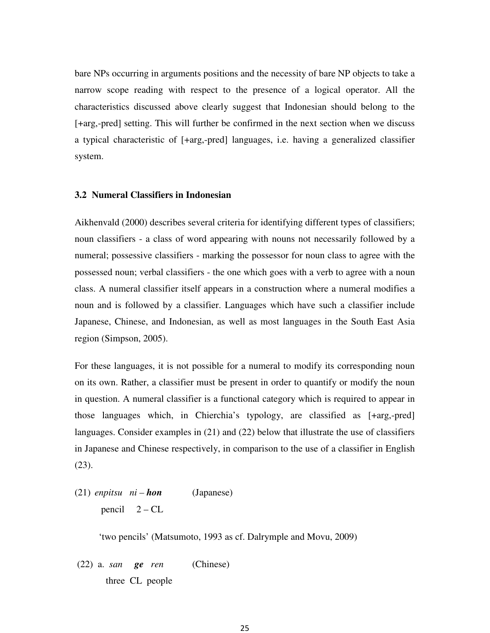bare NPs occurring in arguments positions and the necessity of bare NP objects to take a narrow scope reading with respect to the presence of a logical operator. All the characteristics discussed above clearly suggest that Indonesian should belong to the [+arg,-pred] setting. This will further be confirmed in the next section when we discuss a typical characteristic of [+arg,-pred] languages, i.e. having a generalized classifier system.

## **3.2 Numeral Classifiers in Indonesian**

Aikhenvald (2000) describes several criteria for identifying different types of classifiers; noun classifiers - a class of word appearing with nouns not necessarily followed by a numeral; possessive classifiers - marking the possessor for noun class to agree with the possessed noun; verbal classifiers - the one which goes with a verb to agree with a noun class. A numeral classifier itself appears in a construction where a numeral modifies a noun and is followed by a classifier. Languages which have such a classifier include Japanese, Chinese, and Indonesian, as well as most languages in the South East Asia region (Simpson, 2005).

For these languages, it is not possible for a numeral to modify its corresponding noun on its own. Rather, a classifier must be present in order to quantify or modify the noun in question. A numeral classifier is a functional category which is required to appear in those languages which, in Chierchia's typology, are classified as [+arg,-pred] languages. Consider examples in (21) and (22) below that illustrate the use of classifiers in Japanese and Chinese respectively, in comparison to the use of a classifier in English (23).

(21) *enpitsu ni – hon* (Japanese) pencil  $2 - CL$ 

'two pencils' (Matsumoto, 1993 as cf. Dalrymple and Movu, 2009)

 (22) a. *san ge ren* (Chinese) three CL people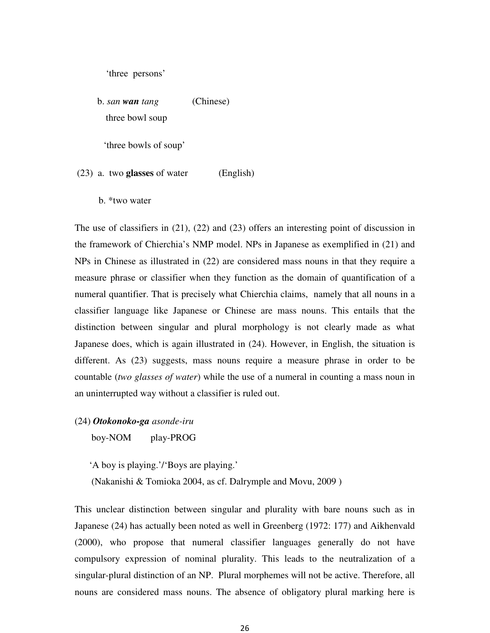#### 'three persons'

 b. *san wan tang* (Chinese) three bowl soup

'three bowls of soup'

(23) a. two **glasses** of water (English)

b. \*two water

The use of classifiers in (21), (22) and (23) offers an interesting point of discussion in the framework of Chierchia's NMP model. NPs in Japanese as exemplified in (21) and NPs in Chinese as illustrated in (22) are considered mass nouns in that they require a measure phrase or classifier when they function as the domain of quantification of a numeral quantifier. That is precisely what Chierchia claims, namely that all nouns in a classifier language like Japanese or Chinese are mass nouns. This entails that the distinction between singular and plural morphology is not clearly made as what Japanese does, which is again illustrated in (24). However, in English, the situation is different. As (23) suggests, mass nouns require a measure phrase in order to be countable (*two glasses of water*) while the use of a numeral in counting a mass noun in an uninterrupted way without a classifier is ruled out.

(24) *Otokonoko-ga asonde-iru* 

boy-NOM play-PROG

'A boy is playing.'/'Boys are playing.'

(Nakanishi & Tomioka 2004, as cf. Dalrymple and Movu, 2009 )

This unclear distinction between singular and plurality with bare nouns such as in Japanese (24) has actually been noted as well in Greenberg (1972: 177) and Aikhenvald (2000), who propose that numeral classifier languages generally do not have compulsory expression of nominal plurality. This leads to the neutralization of a singular-plural distinction of an NP. Plural morphemes will not be active. Therefore, all nouns are considered mass nouns. The absence of obligatory plural marking here is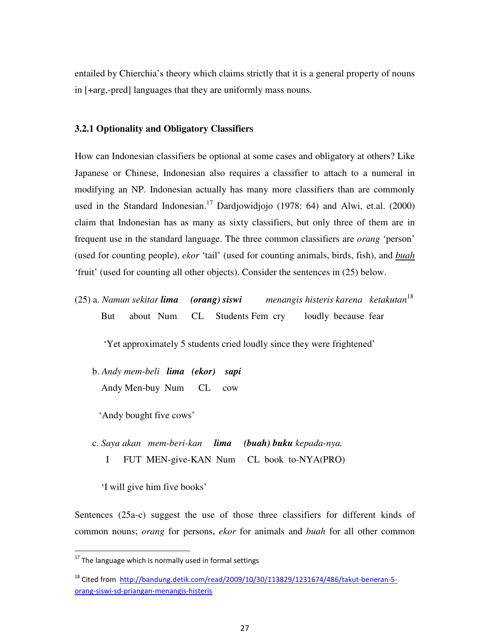entailed by Chierchia's theory which claims strictly that it is a general property of nouns in [+arg,-pred] languages that they are uniformly mass nouns.

# **3.2.1 Optionality and Obligatory Classifiers**

How can Indonesian classifiers be optional at some cases and obligatory at others? Like Japanese or Chinese, Indonesian also requires a classifier to attach to a numeral in modifying an NP. Indonesian actually has many more classifiers than are commonly used in the Standard Indonesian.<sup>17</sup> Dardjowidjojo (1978: 64) and Alwi, et.al. (2000) claim that Indonesian has as many as sixty classifiers, but only three of them are in frequent use in the standard language. The three common classifiers are *orang* 'person' (used for counting people), *ekor* 'tail' (used for counting animals, birds, fish), and *buah* 'fruit' (used for counting all other objects). Consider the sentences in (25) below.

(25) a. *Namun sekitar lima (orang) siswi menangis histeris karena ketakutan*<sup>18</sup> But about Num CL Students Fem cry loudly because fear

'Yet approximately 5 students cried loudly since they were frightened'

b. *Andy mem-beli lima (ekor) sapi* Andy Men-buy Num CL cow

'Andy bought five cows'

c. *Saya akan mem-beri-kan lima (buah) buku kepada-nya.* I FUT MEN-give-KAN Num CL book to-NYA(PRO)

'I will give him five books'

l

Sentences (25a-c) suggest the use of those three classifiers for different kinds of common nouns; *orang* for persons, *ekor* for animals and *buah* for all other common

 $17$  The language which is normally used in formal settings

<sup>18</sup> Cited from http://bandung.detik.com/read/2009/10/30/113829/1231674/486/takut-beneran-5 orang-siswi-sd-priangan-menangis-histeris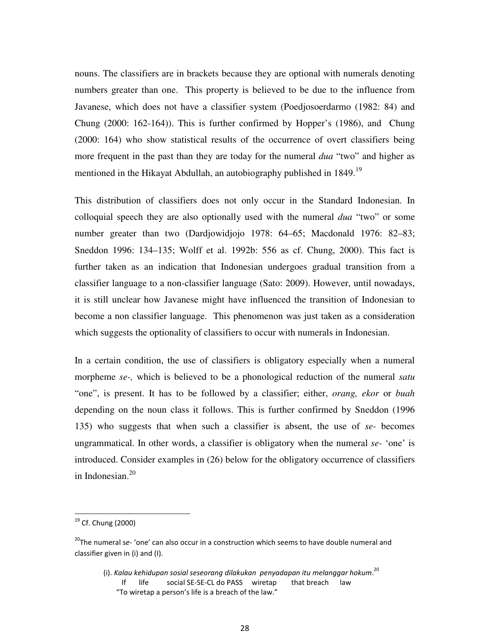nouns. The classifiers are in brackets because they are optional with numerals denoting numbers greater than one. This property is believed to be due to the influence from Javanese, which does not have a classifier system (Poedjosoerdarmo (1982: 84) and Chung (2000: 162-164)). This is further confirmed by Hopper's (1986), and Chung (2000: 164) who show statistical results of the occurrence of overt classifiers being more frequent in the past than they are today for the numeral *dua* "two" and higher as mentioned in the Hikayat Abdullah, an autobiography published in 1849.<sup>19</sup>

This distribution of classifiers does not only occur in the Standard Indonesian. In colloquial speech they are also optionally used with the numeral *dua* "two" or some number greater than two (Dardjowidjojo 1978: 64–65; Macdonald 1976: 82–83; Sneddon 1996: 134–135; Wolff et al. 1992b: 556 as cf. Chung, 2000). This fact is further taken as an indication that Indonesian undergoes gradual transition from a classifier language to a non-classifier language (Sato: 2009). However, until nowadays, it is still unclear how Javanese might have influenced the transition of Indonesian to become a non classifier language. This phenomenon was just taken as a consideration which suggests the optionality of classifiers to occur with numerals in Indonesian.

In a certain condition, the use of classifiers is obligatory especially when a numeral morpheme *se-,* which is believed to be a phonological reduction of the numeral *satu*  "one", is present. It has to be followed by a classifier; either, *orang, ekor* or *buah* depending on the noun class it follows. This is further confirmed by Sneddon (1996 135) who suggests that when such a classifier is absent, the use of *se-* becomes ungrammatical. In other words, a classifier is obligatory when the numeral *se-* 'one' is introduced. Consider examples in (26) below for the obligatory occurrence of classifiers in Indonesian. $^{20}$ 

<sup>19</sup> Cf. Chung (2000)

<sup>&</sup>lt;sup>20</sup>The numeral se- 'one' can also occur in a construction which seems to have double numeral and classifier given in (i) and (I).

<sup>(</sup>i). Kalau kehidupan sosial seseorang dilakukan penyadapan itu melanggar hokum. $^{20}$  If life social SE-SE-CL do PASS wiretap that breach law "To wiretap a person's life is a breach of the law."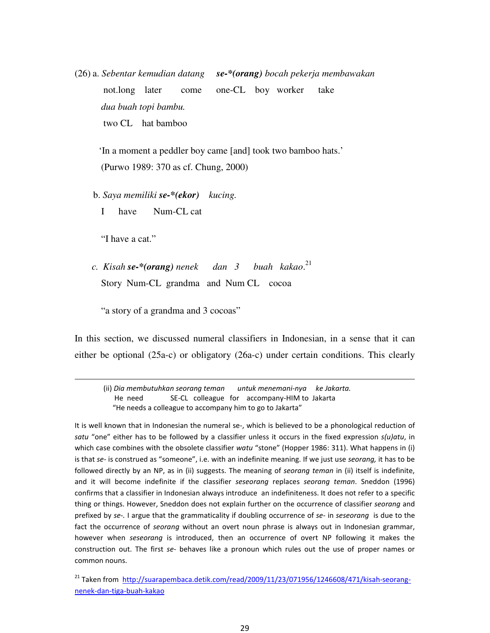(26) a. *Sebentar kemudian datang se-\*(orang) bocah pekerja membawakan* not.long later come one-CL boy worker take  *dua buah topi bambu.*  two CL hat bamboo

 'In a moment a peddler boy came [and] took two bamboo hats.' (Purwo 1989: 370 as cf. Chung, 2000)

b. *Saya memiliki se-\*(ekor) kucing.* 

I have Num-CL cat

"I have a cat."

*c. Kisah se-\*(orang) nenek dan 3 buah kakao*. buah kakao. $^{21}$ Story Num-CL grandma and Num CL cocoa

"a story of a grandma and 3 cocoas"

In this section, we discussed numeral classifiers in Indonesian, in a sense that it can either be optional (25a-c) or obligatory (26a-c) under certain conditions. This clearly

 (ii) Dia membutuhkan seorang teman untuk menemani-nya ke Jakarta. He need SE-CL colleague for accompany-HIM to Jakarta "He needs a colleague to accompany him to go to Jakarta"

It is well known that in Indonesian the numeral se-, which is believed to be a phonological reduction of satu "one" either has to be followed by a classifier unless it occurs in the fixed expression  $s(u)$ atu, in which case combines with the obsolete classifier watu "stone" (Hopper 1986: 311). What happens in (i) is that se- is construed as "someone", i.e. with an indefinite meaning. If we just use seorang, it has to be followed directly by an NP, as in (ii) suggests. The meaning of seorang teman in (ii) itself is indefinite, and it will become indefinite if the classifier seseorang replaces seorang teman. Sneddon (1996) confirms that a classifier in Indonesian always introduce an indefiniteness. It does not refer to a specific thing or things. However, Sneddon does not explain further on the occurrence of classifier seorang and prefixed by se-. I argue that the grammaticality if doubling occurrence of se- in seseorang is due to the fact the occurrence of seorang without an overt noun phrase is always out in Indonesian grammar, however when *seseorang* is introduced, then an occurrence of overt NP following it makes the construction out. The first se- behaves like a pronoun which rules out the use of proper names or common nouns.

<sup>&</sup>lt;sup>21</sup> Taken from http://suarapembaca.detik.com/read/2009/11/23/071956/1246608/471/kisah-seorangnenek-dan-tiga-buah-kakao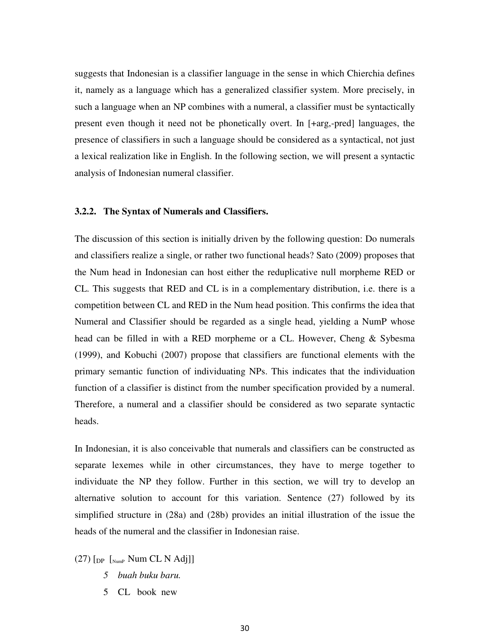suggests that Indonesian is a classifier language in the sense in which Chierchia defines it, namely as a language which has a generalized classifier system. More precisely, in such a language when an NP combines with a numeral, a classifier must be syntactically present even though it need not be phonetically overt. In [+arg,-pred] languages, the presence of classifiers in such a language should be considered as a syntactical, not just a lexical realization like in English. In the following section, we will present a syntactic analysis of Indonesian numeral classifier.

#### **3.2.2. The Syntax of Numerals and Classifiers.**

The discussion of this section is initially driven by the following question: Do numerals and classifiers realize a single, or rather two functional heads? Sato (2009) proposes that the Num head in Indonesian can host either the reduplicative null morpheme RED or CL. This suggests that RED and CL is in a complementary distribution, i.e. there is a competition between CL and RED in the Num head position. This confirms the idea that Numeral and Classifier should be regarded as a single head, yielding a NumP whose head can be filled in with a RED morpheme or a CL. However, Cheng & Sybesma (1999), and Kobuchi (2007) propose that classifiers are functional elements with the primary semantic function of individuating NPs. This indicates that the individuation function of a classifier is distinct from the number specification provided by a numeral. Therefore, a numeral and a classifier should be considered as two separate syntactic heads.

In Indonesian, it is also conceivable that numerals and classifiers can be constructed as separate lexemes while in other circumstances, they have to merge together to individuate the NP they follow. Further in this section, we will try to develop an alternative solution to account for this variation. Sentence (27) followed by its simplified structure in (28a) and (28b) provides an initial illustration of the issue the heads of the numeral and the classifier in Indonesian raise.

 $(27)$   $\lceil_{DP} \rceil$ <sub>Num</sub> Num CL N Adj]]

- *5 buah buku baru.*
- 5 CL book new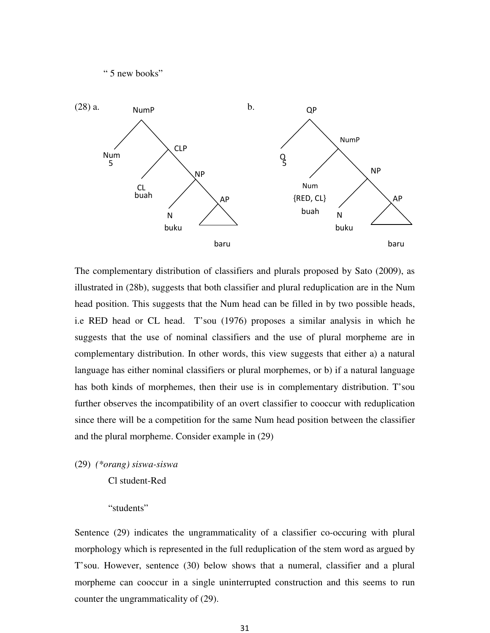



The complementary distribution of classifiers and plurals proposed by Sato (2009), as illustrated in (28b), suggests that both classifier and plural reduplication are in the Num head position. This suggests that the Num head can be filled in by two possible heads, i.e RED head or CL head. T'sou (1976) proposes a similar analysis in which he suggests that the use of nominal classifiers and the use of plural morpheme are in complementary distribution. In other words, this view suggests that either a) a natural language has either nominal classifiers or plural morphemes, or b) if a natural language has both kinds of morphemes, then their use is in complementary distribution. T'sou further observes the incompatibility of an overt classifier to cooccur with reduplication since there will be a competition for the same Num head position between the classifier and the plural morpheme. Consider example in (29)

(29) *(\*orang) siswa-siswa*

Cl student-Red

#### "students"

Sentence (29) indicates the ungrammaticality of a classifier co-occuring with plural morphology which is represented in the full reduplication of the stem word as argued by T'sou. However, sentence (30) below shows that a numeral, classifier and a plural morpheme can cooccur in a single uninterrupted construction and this seems to run counter the ungrammaticality of (29).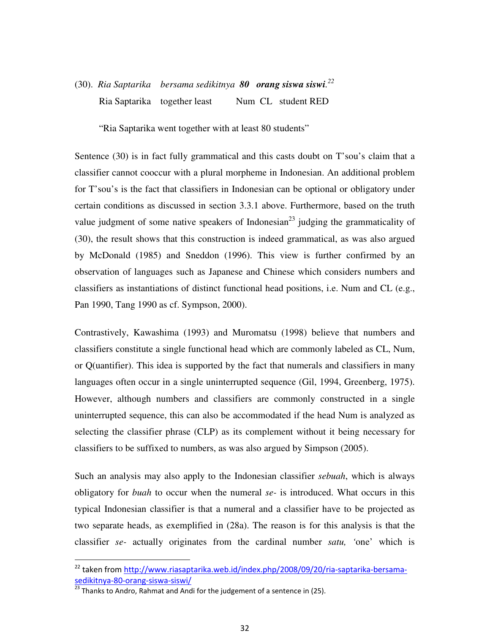(30). *Ria Saptarika bersama sedikitnya 80 orang siswa siswi. 22* Ria Saptarika together least Num CL student RED

"Ria Saptarika went together with at least 80 students"

Sentence (30) is in fact fully grammatical and this casts doubt on T'sou's claim that a classifier cannot cooccur with a plural morpheme in Indonesian. An additional problem for T'sou's is the fact that classifiers in Indonesian can be optional or obligatory under certain conditions as discussed in section 3.3.1 above. Furthermore, based on the truth value judgment of some native speakers of Indonesian<sup>23</sup> judging the grammaticality of (30), the result shows that this construction is indeed grammatical, as was also argued by McDonald (1985) and Sneddon (1996). This view is further confirmed by an observation of languages such as Japanese and Chinese which considers numbers and classifiers as instantiations of distinct functional head positions, i.e. Num and CL (e.g., Pan 1990, Tang 1990 as cf. Sympson, 2000).

Contrastively, Kawashima (1993) and Muromatsu (1998) believe that numbers and classifiers constitute a single functional head which are commonly labeled as CL, Num, or Q(uantifier). This idea is supported by the fact that numerals and classifiers in many languages often occur in a single uninterrupted sequence (Gil, 1994, Greenberg, 1975). However, although numbers and classifiers are commonly constructed in a single uninterrupted sequence, this can also be accommodated if the head Num is analyzed as selecting the classifier phrase (CLP) as its complement without it being necessary for classifiers to be suffixed to numbers, as was also argued by Simpson (2005).

Such an analysis may also apply to the Indonesian classifier *sebuah*, which is always obligatory for *buah* to occur when the numeral *se-* is introduced. What occurs in this typical Indonesian classifier is that a numeral and a classifier have to be projected as two separate heads, as exemplified in (28a). The reason is for this analysis is that the classifier *se-* actually originates from the cardinal number *satu, '*one' which is

<sup>&</sup>lt;sup>22</sup> taken from http://www.riasaptarika.web.id/index.php/2008/09/20/ria-saptarika-bersamasedikitnya-80-orang-siswa-siswi/

 $^{23}$  Thanks to Andro, Rahmat and Andi for the judgement of a sentence in (25).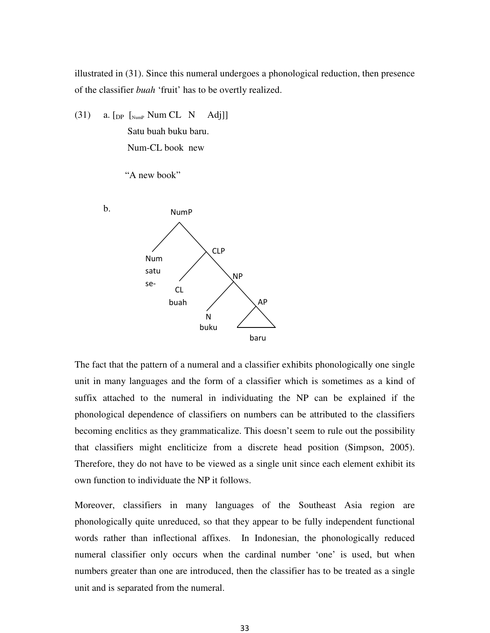illustrated in (31). Since this numeral undergoes a phonological reduction, then presence of the classifier *buah* 'fruit' has to be overtly realized.

 $(31)$  a.  $\lceil_{DP} \rceil_{NumP}$  Num CL N Adj]] Satu buah buku baru. Num-CL book new

"A new book"



The fact that the pattern of a numeral and a classifier exhibits phonologically one single unit in many languages and the form of a classifier which is sometimes as a kind of suffix attached to the numeral in individuating the NP can be explained if the phonological dependence of classifiers on numbers can be attributed to the classifiers becoming enclitics as they grammaticalize. This doesn't seem to rule out the possibility that classifiers might encliticize from a discrete head position (Simpson, 2005). Therefore, they do not have to be viewed as a single unit since each element exhibit its own function to individuate the NP it follows.

Moreover, classifiers in many languages of the Southeast Asia region are phonologically quite unreduced, so that they appear to be fully independent functional words rather than inflectional affixes. In Indonesian, the phonologically reduced numeral classifier only occurs when the cardinal number 'one' is used, but when numbers greater than one are introduced, then the classifier has to be treated as a single unit and is separated from the numeral.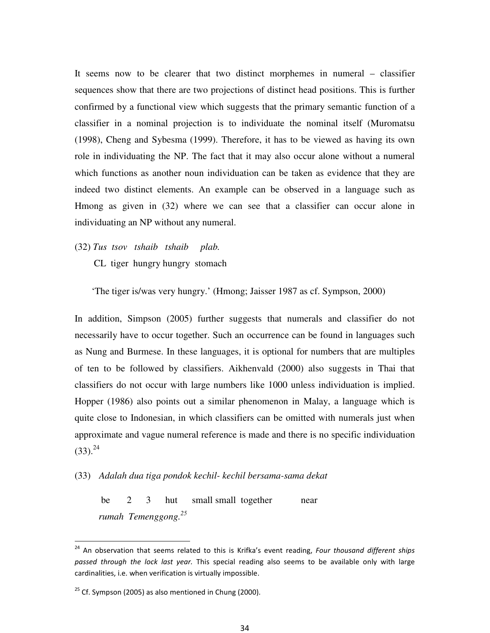It seems now to be clearer that two distinct morphemes in numeral – classifier sequences show that there are two projections of distinct head positions. This is further confirmed by a functional view which suggests that the primary semantic function of a classifier in a nominal projection is to individuate the nominal itself (Muromatsu (1998), Cheng and Sybesma (1999). Therefore, it has to be viewed as having its own role in individuating the NP. The fact that it may also occur alone without a numeral which functions as another noun individuation can be taken as evidence that they are indeed two distinct elements. An example can be observed in a language such as Hmong as given in (32) where we can see that a classifier can occur alone in individuating an NP without any numeral.

(32) *Tus tsov tshaib tshaib plab.*

CL tiger hungry hungry stomach

'The tiger is/was very hungry.' (Hmong; Jaisser 1987 as cf. Sympson, 2000)

In addition, Simpson (2005) further suggests that numerals and classifier do not necessarily have to occur together. Such an occurrence can be found in languages such as Nung and Burmese. In these languages, it is optional for numbers that are multiples of ten to be followed by classifiers. Aikhenvald (2000) also suggests in Thai that classifiers do not occur with large numbers like 1000 unless individuation is implied. Hopper (1986) also points out a similar phenomenon in Malay, a language which is quite close to Indonesian, in which classifiers can be omitted with numerals just when approximate and vague numeral reference is made and there is no specific individuation  $(33).^{24}$ 

(33) *Adalah dua tiga pondok kechil- kechil bersama-sama dekat*

be 2 3 hut small small together near *rumah Temenggong.<sup>25</sup>*

<sup>&</sup>lt;sup>24</sup> An observation that seems related to this is Krifka's event reading, Four thousand different ships passed through the lock last year. This special reading also seems to be available only with large cardinalities, i.e. when verification is virtually impossible.

 $25$  Cf. Sympson (2005) as also mentioned in Chung (2000).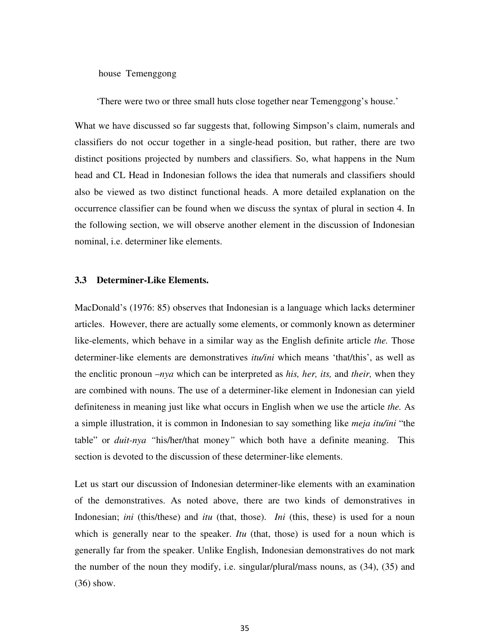#### house Temenggong

'There were two or three small huts close together near Temenggong's house.'

What we have discussed so far suggests that, following Simpson's claim, numerals and classifiers do not occur together in a single-head position, but rather, there are two distinct positions projected by numbers and classifiers. So, what happens in the Num head and CL Head in Indonesian follows the idea that numerals and classifiers should also be viewed as two distinct functional heads. A more detailed explanation on the occurrence classifier can be found when we discuss the syntax of plural in section 4. In the following section, we will observe another element in the discussion of Indonesian nominal, i.e. determiner like elements.

#### **3.3 Determiner-Like Elements.**

MacDonald's (1976: 85) observes that Indonesian is a language which lacks determiner articles. However, there are actually some elements, or commonly known as determiner like-elements, which behave in a similar way as the English definite article *the.* Those determiner-like elements are demonstratives *itu/ini* which means 'that/this', as well as the enclitic pronoun –*nya* which can be interpreted as *his, her, its,* and *their,* when they are combined with nouns. The use of a determiner-like element in Indonesian can yield definiteness in meaning just like what occurs in English when we use the article *the.* As a simple illustration, it is common in Indonesian to say something like *meja itu/ini* "the table" or *duit-nya "*his/her/that money*"* which both have a definite meaning. This section is devoted to the discussion of these determiner-like elements.

Let us start our discussion of Indonesian determiner-like elements with an examination of the demonstratives. As noted above, there are two kinds of demonstratives in Indonesian; *ini* (this/these) and *itu* (that, those). *Ini* (this, these) is used for a noun which is generally near to the speaker. *Itu* (that, those) is used for a noun which is generally far from the speaker. Unlike English, Indonesian demonstratives do not mark the number of the noun they modify, i.e. singular/plural/mass nouns, as (34), (35) and (36) show.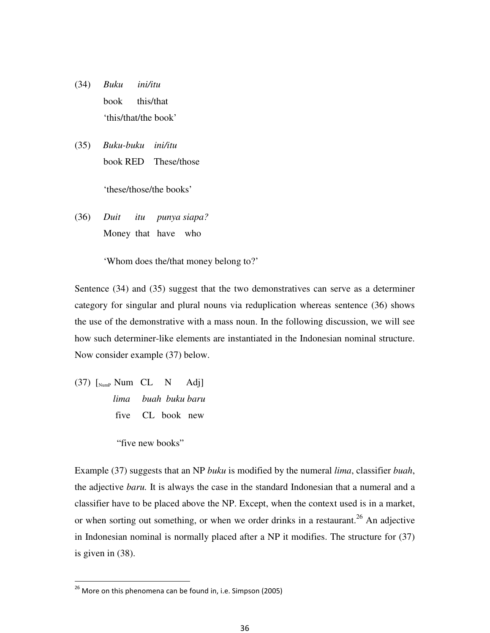- (34) *Buku ini/itu*  book this/that 'this/that/the book'
- (35) *Buku-buku ini/itu*  book RED These/those

'these/those/the books'

(36) *Duit itu punya siapa?*  Money that have who

'Whom does the/that money belong to?'

Sentence (34) and (35) suggest that the two demonstratives can serve as a determiner category for singular and plural nouns via reduplication whereas sentence (36) shows the use of the demonstrative with a mass noun. In the following discussion, we will see how such determiner-like elements are instantiated in the Indonesian nominal structure. Now consider example (37) below.

 $(37)$   $\lceil_{\text{Num}}$  Num CL N Adj]  *lima buah buku baru*  five CL book new

"five new books"

l

Example (37) suggests that an NP *buku* is modified by the numeral *lima*, classifier *buah*, the adjective *baru.* It is always the case in the standard Indonesian that a numeral and a classifier have to be placed above the NP. Except, when the context used is in a market, or when sorting out something, or when we order drinks in a restaurant.<sup>26</sup> An adjective in Indonesian nominal is normally placed after a NP it modifies. The structure for (37) is given in (38).

 $26$  More on this phenomena can be found in, i.e. Simpson (2005)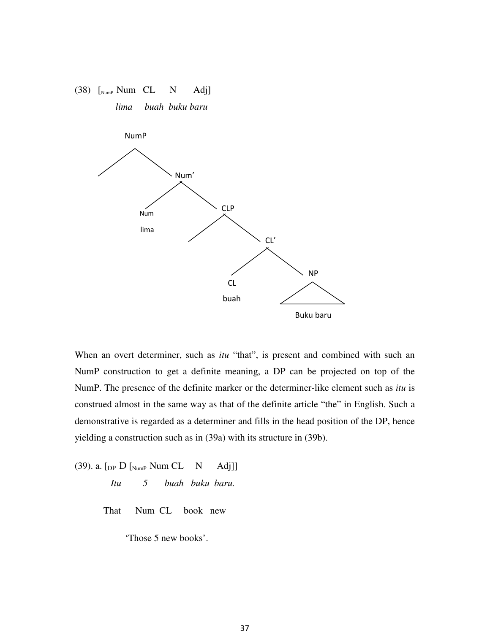

When an overt determiner, such as *itu* "that", is present and combined with such an NumP construction to get a definite meaning, a DP can be projected on top of the NumP. The presence of the definite marker or the determiner-like element such as *itu* is construed almost in the same way as that of the definite article "the" in English. Such a demonstrative is regarded as a determiner and fills in the head position of the DP, hence yielding a construction such as in (39a) with its structure in (39b).

(39). a.  $[$ <sub>DP</sub> D  $[$ <sub>NumP</sub> Num CL N Adj]]

*Itu 5 buah buku baru.* 

That Num CL book new

'Those 5 new books'.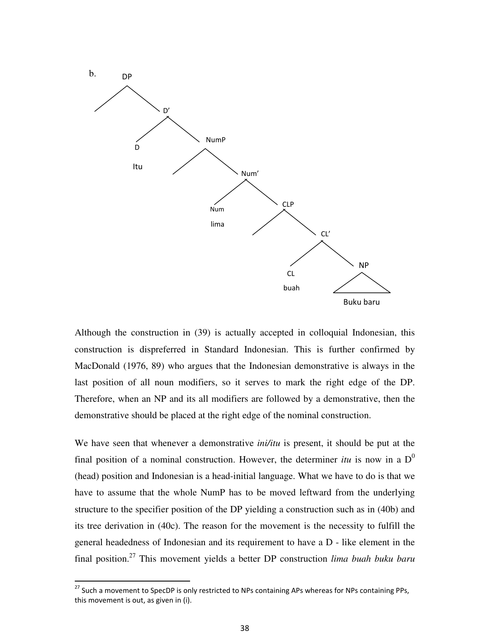

Although the construction in (39) is actually accepted in colloquial Indonesian, this construction is dispreferred in Standard Indonesian. This is further confirmed by MacDonald (1976, 89) who argues that the Indonesian demonstrative is always in the last position of all noun modifiers, so it serves to mark the right edge of the DP. Therefore, when an NP and its all modifiers are followed by a demonstrative, then the demonstrative should be placed at the right edge of the nominal construction.

We have seen that whenever a demonstrative *ini/itu* is present, it should be put at the final position of a nominal construction. However, the determiner *itu* is now in a  $D^0$ (head) position and Indonesian is a head-initial language. What we have to do is that we have to assume that the whole NumP has to be moved leftward from the underlying structure to the specifier position of the DP yielding a construction such as in (40b) and its tree derivation in (40c). The reason for the movement is the necessity to fulfill the general headedness of Indonesian and its requirement to have a D - like element in the final position.<sup>27</sup> This movement yields a better DP construction *lima buah buku baru* 

 $27$  Such a movement to SpecDP is only restricted to NPs containing APs whereas for NPs containing PPs, this movement is out, as given in (i).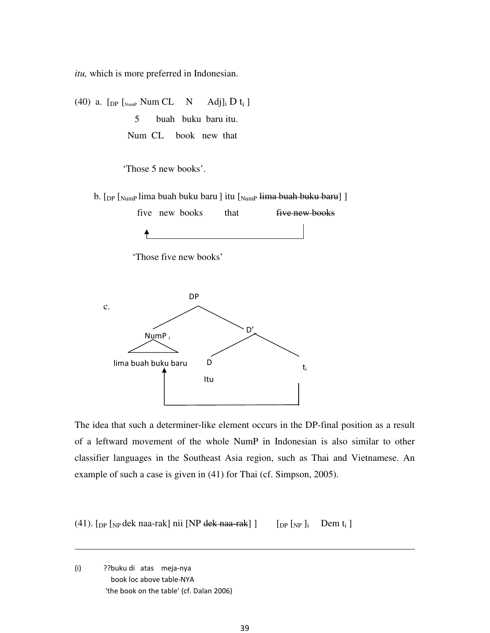*itu,* which is more preferred in Indonesian.

(40) a.  $[$ DP  $[$ <sub>Num</sub>P Num CL N Adj]<sub>i</sub> D  $t_i$  ] 5 buah buku baru itu. Num CL book new that

'Those 5 new books'.

b.  $[DP_{NumP}$  lima buah buku baru ] itu  $[N_{UMP}$  lima buah buku baru] ]



'Those five new books'



The idea that such a determiner-like element occurs in the DP-final position as a result of a leftward movement of the whole NumP in Indonesian is also similar to other classifier languages in the Southeast Asia region, such as Thai and Vietnamese. An example of such a case is given in (41) for Thai (cf. Simpson, 2005).

(41). [DP [NP dek naa-rak] nii [NP dek naa-rak] ] [DP [NP ]i Dem  $t_i$ ]

(i) ??buku di atas meja-nya book loc above table-NYA 'the book on the table' (cf. Dalan 2006)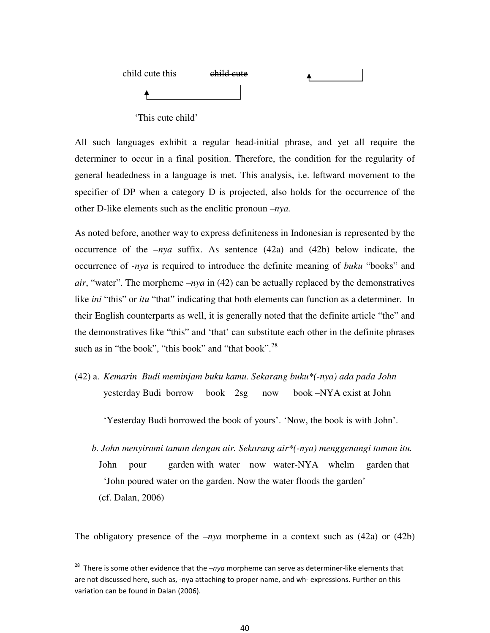

'This cute child'

All such languages exhibit a regular head-initial phrase, and yet all require the determiner to occur in a final position. Therefore, the condition for the regularity of general headedness in a language is met. This analysis, i.e. leftward movement to the specifier of DP when a category D is projected, also holds for the occurrence of the other D-like elements such as the enclitic pronoun –*nya.*

As noted before, another way to express definiteness in Indonesian is represented by the occurrence of the *–nya* suffix. As sentence (42a) and (42b) below indicate, the occurrence of *-nya* is required to introduce the definite meaning of *buku* "books" and *air*, "water". The morpheme *–nya* in (42) can be actually replaced by the demonstratives like *ini* "this" or *itu* "that" indicating that both elements can function as a determiner. In their English counterparts as well, it is generally noted that the definite article "the" and the demonstratives like "this" and 'that' can substitute each other in the definite phrases such as in "the book", "this book" and "that book".<sup>28</sup>

(42) a. *Kemarin Budi meminjam buku kamu. Sekarang buku\*(-nya) ada pada John*  yesterday Budi borrow book 2sg now book –NYA exist at John

'Yesterday Budi borrowed the book of yours'. 'Now, the book is with John'.

*b. John menyirami taman dengan air. Sekarang air\*(-nya) menggenangi taman itu.*  John pour garden with water now water-NYA whelm garden that 'John poured water on the garden. Now the water floods the garden' (cf. Dalan, 2006)

The obligatory presence of the *–nya* morpheme in a context such as (42a) or (42b)

<sup>&</sup>lt;sup>28</sup> There is some other evidence that the  $-\eta y a$  morpheme can serve as determiner-like elements that are not discussed here, such as, -nya attaching to proper name, and wh- expressions. Further on this variation can be found in Dalan (2006).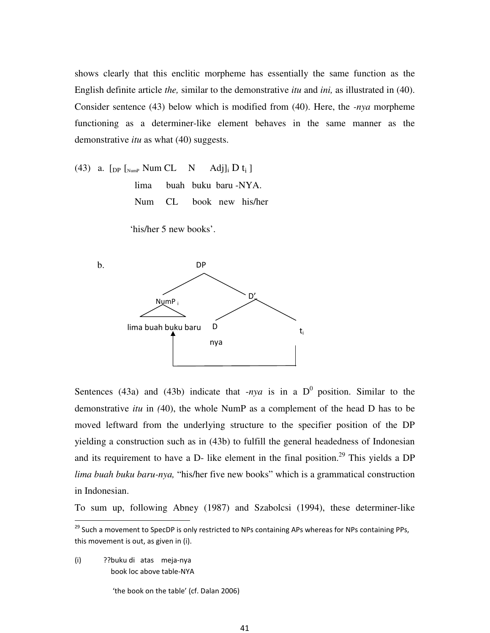shows clearly that this enclitic morpheme has essentially the same function as the English definite article *the,* similar to the demonstrative *itu* and *ini,* as illustrated in (40). Consider sentence (43) below which is modified from (40). Here, the *-nya* morpheme functioning as a determiner-like element behaves in the same manner as the demonstrative *itu* as what (40) suggests.

(43) a.  $\lceil_{DP} \rceil_{NumP}$  Num CL N Adj]<sub>i</sub>  $D$   $t_i$  ] lima buah buku baru -NYA. Num CL book new his/her

'his/her 5 new books'.



Sentences (43a) and (43b) indicate that  $-nya$  is in a  $D^0$  position. Similar to the demonstrative *itu* in *(*40), the whole NumP as a complement of the head D has to be moved leftward from the underlying structure to the specifier position of the DP yielding a construction such as in (43b) to fulfill the general headedness of Indonesian and its requirement to have a D- like element in the final position.<sup>29</sup> This yields a DP *lima buah buku baru-nya,* "his/her five new books" which is a grammatical construction in Indonesian.

To sum up, following Abney (1987) and Szabolcsi (1994), these determiner-like

(i) ??buku di atas meja-nya book loc above table-NYA

'the book on the table' (cf. Dalan 2006)

<sup>&</sup>lt;sup>29</sup> Such a movement to SpecDP is only restricted to NPs containing APs whereas for NPs containing PPs, this movement is out, as given in (i).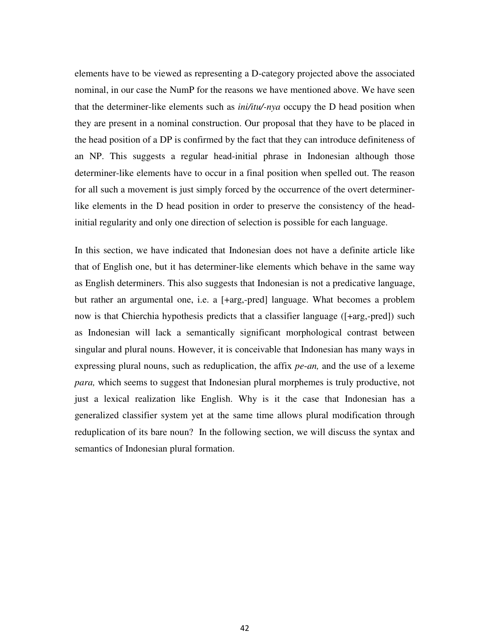elements have to be viewed as representing a D-category projected above the associated nominal, in our case the NumP for the reasons we have mentioned above. We have seen that the determiner-like elements such as *ini/itu/-nya* occupy the D head position when they are present in a nominal construction. Our proposal that they have to be placed in the head position of a DP is confirmed by the fact that they can introduce definiteness of an NP. This suggests a regular head-initial phrase in Indonesian although those determiner-like elements have to occur in a final position when spelled out. The reason for all such a movement is just simply forced by the occurrence of the overt determinerlike elements in the D head position in order to preserve the consistency of the headinitial regularity and only one direction of selection is possible for each language.

In this section, we have indicated that Indonesian does not have a definite article like that of English one, but it has determiner-like elements which behave in the same way as English determiners. This also suggests that Indonesian is not a predicative language, but rather an argumental one, i.e. a [+arg,-pred] language. What becomes a problem now is that Chierchia hypothesis predicts that a classifier language ([+arg,-pred]) such as Indonesian will lack a semantically significant morphological contrast between singular and plural nouns. However, it is conceivable that Indonesian has many ways in expressing plural nouns, such as reduplication, the affix *pe*-*an,* and the use of a lexeme *para*, which seems to suggest that Indonesian plural morphemes is truly productive, not just a lexical realization like English. Why is it the case that Indonesian has a generalized classifier system yet at the same time allows plural modification through reduplication of its bare noun? In the following section, we will discuss the syntax and semantics of Indonesian plural formation.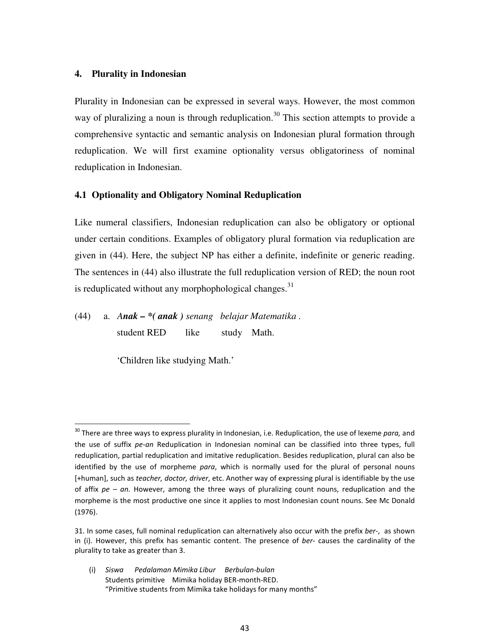## **4. Plurality in Indonesian**

Plurality in Indonesian can be expressed in several ways. However, the most common way of pluralizing a noun is through reduplication.<sup>30</sup> This section attempts to provide a comprehensive syntactic and semantic analysis on Indonesian plural formation through reduplication. We will first examine optionality versus obligatoriness of nominal reduplication in Indonesian.

## **4.1 Optionality and Obligatory Nominal Reduplication**

Like numeral classifiers, Indonesian reduplication can also be obligatory or optional under certain conditions. Examples of obligatory plural formation via reduplication are given in (44). Here, the subject NP has either a definite, indefinite or generic reading. The sentences in (44) also illustrate the full reduplication version of RED; the noun root is reduplicated without any morphophological changes.<sup>31</sup>

(44) a. *Anak – \*( anak ) senang belajar Matematika .* student RED like study Math.

'Children like studying Math.'

l

(i) Siswa Pedalaman Mimika Libur Berbulan-bulan Students primitive Mimika holiday BER-month-RED. "Primitive students from Mimika take holidays for many months"

 $30$  There are three ways to express plurality in Indonesian, i.e. Reduplication, the use of lexeme para, and the use of suffix pe-an Reduplication in Indonesian nominal can be classified into three types, full reduplication, partial reduplication and imitative reduplication. Besides reduplication, plural can also be identified by the use of morpheme  $para$ , which is normally used for the plural of personal nouns [+human], such as teacher, doctor, driver, etc. Another way of expressing plural is identifiable by the use of affix  $pe - an$ . However, among the three ways of pluralizing count nouns, reduplication and the morpheme is the most productive one since it applies to most Indonesian count nouns. See Mc Donald (1976).

<sup>31.</sup> In some cases, full nominal reduplication can alternatively also occur with the prefix ber-, as shown in (i). However, this prefix has semantic content. The presence of ber- causes the cardinality of the plurality to take as greater than 3.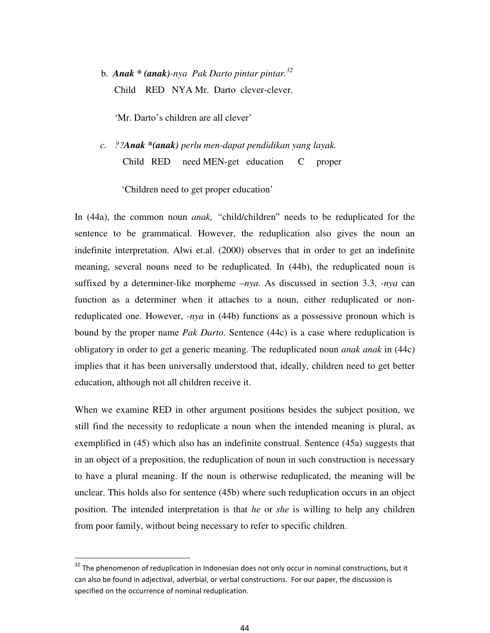b. *Anak \* (anak)-nya Pak Darto pintar pintar.<sup>32</sup>* Child RED NYA Mr. Darto clever-clever.

'Mr. Darto's children are all clever'

*c. ??Anak \*(anak) perlu men-dapat pendidikan yang layak.*  Child RED need MEN-get education C proper

'Children need to get proper education'

In (44a), the common noun *anak, "*child/children" needs to be reduplicated for the sentence to be grammatical. However, the reduplication also gives the noun an indefinite interpretation. Alwi et.al. (2000) observes that in order to get an indefinite meaning, several nouns need to be reduplicated. In (44b), the reduplicated noun is suffixed by a determiner-like morpheme *–nya.* As discussed in section 3.3, *-nya* can function as a determiner when it attaches to a noun, either reduplicated or nonreduplicated one. However, *-nya* in (44b) functions as a possessive pronoun which is bound by the proper name *Pak Darto*. Sentence (44c) is a case where reduplication is obligatory in order to get a generic meaning. The reduplicated noun *anak anak* in (44c) implies that it has been universally understood that, ideally, children need to get better education, although not all children receive it.

When we examine RED in other argument positions besides the subject position, we still find the necessity to reduplicate a noun when the intended meaning is plural, as exemplified in (45) which also has an indefinite construal. Sentence (45a) suggests that in an object of a preposition, the reduplication of noun in such construction is necessary to have a plural meaning. If the noun is otherwise reduplicated, the meaning will be unclear. This holds also for sentence (45b) where such reduplication occurs in an object position. The intended interpretation is that *he* or *she* is willing to help any children from poor family, without being necessary to refer to specific children.

 $32$  The phenomenon of reduplication in Indonesian does not only occur in nominal constructions, but it can also be found in adjectival, adverbial, or verbal constructions. For our paper, the discussion is specified on the occurrence of nominal reduplication.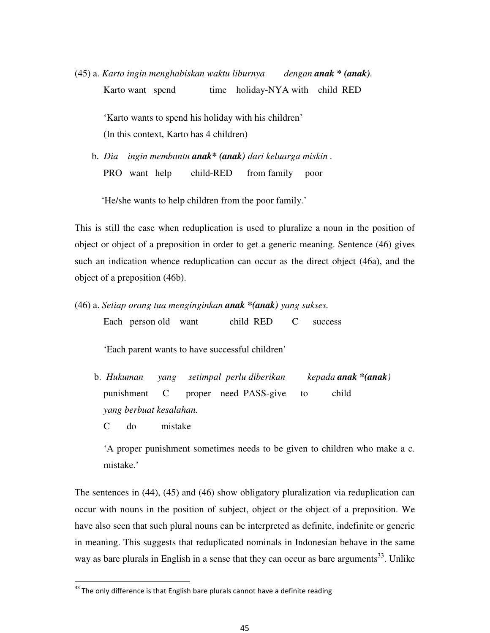(45) a. *Karto ingin menghabiskan waktu liburnya dengan anak \* (anak).*  Karto want spend time holiday-NYA with child RED

'Karto wants to spend his holiday with his children' (In this context, Karto has 4 children)

 b. *Dia ingin membantu anak\* (anak) dari keluarga miskin .*  PRO want help child-RED from family poor

'He/she wants to help children from the poor family.'

This is still the case when reduplication is used to pluralize a noun in the position of object or object of a preposition in order to get a generic meaning. Sentence (46) gives such an indication whence reduplication can occur as the direct object (46a), and the object of a preposition (46b).

(46) a. *Setiap orang tua menginginkan anak \*(anak) yang sukses.* 

| Each person old want |  | child RED |  | success |
|----------------------|--|-----------|--|---------|
|----------------------|--|-----------|--|---------|

'Each parent wants to have successful children'

 b. *Hukuman yang setimpal perlu diberikan kepada anak \*(anak)*  punishment C proper need PASS-give to child *yang berbuat kesalahan.* 

C do mistake

l

 'A proper punishment sometimes needs to be given to children who make a c. mistake.'

The sentences in (44), (45) and (46) show obligatory pluralization via reduplication can occur with nouns in the position of subject, object or the object of a preposition. We have also seen that such plural nouns can be interpreted as definite, indefinite or generic in meaning. This suggests that reduplicated nominals in Indonesian behave in the same way as bare plurals in English in a sense that they can occur as bare arguments<sup>33</sup>. Unlike

 $33$  The only difference is that English bare plurals cannot have a definite reading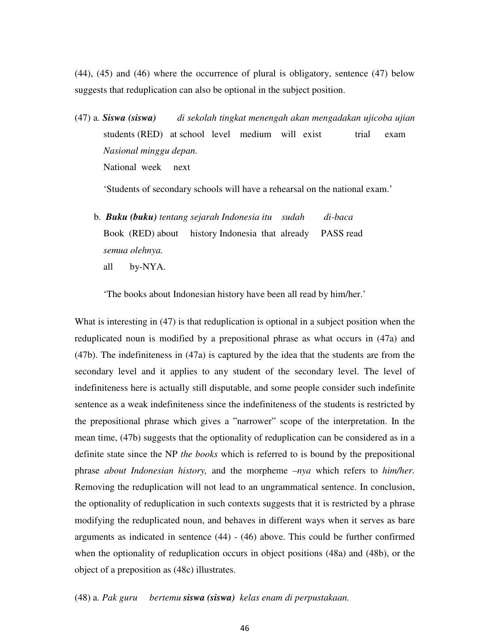(44), (45) and (46) where the occurrence of plural is obligatory, sentence (47) below suggests that reduplication can also be optional in the subject position.

(47) a. *Siswa (siswa) di sekolah tingkat menengah akan mengadakan ujicoba ujian* students (RED) at school level medium will exist trial exam *Nasional minggu depan.*  National week next

'Students of secondary schools will have a rehearsal on the national exam.'

- b. *Buku (buku) tentang sejarah Indonesia itu sudah di-baca*  Book (RED) about history Indonesia that already PASS read *semua olehnya.* 
	- all by-NYA.

'The books about Indonesian history have been all read by him/her.'

What is interesting in (47) is that reduplication is optional in a subject position when the reduplicated noun is modified by a prepositional phrase as what occurs in (47a) and (47b). The indefiniteness in (47a) is captured by the idea that the students are from the secondary level and it applies to any student of the secondary level. The level of indefiniteness here is actually still disputable, and some people consider such indefinite sentence as a weak indefiniteness since the indefiniteness of the students is restricted by the prepositional phrase which gives a "narrower" scope of the interpretation. In the mean time, (47b) suggests that the optionality of reduplication can be considered as in a definite state since the NP *the books* which is referred to is bound by the prepositional phrase *about Indonesian history,* and the morpheme *–nya* which refers to *him/her.* Removing the reduplication will not lead to an ungrammatical sentence. In conclusion, the optionality of reduplication in such contexts suggests that it is restricted by a phrase modifying the reduplicated noun, and behaves in different ways when it serves as bare arguments as indicated in sentence (44) - (46) above. This could be further confirmed when the optionality of reduplication occurs in object positions (48a) and (48b), or the object of a preposition as (48c) illustrates.

(48) a. *Pak guru bertemu siswa (siswa) kelas enam di perpustakaan.*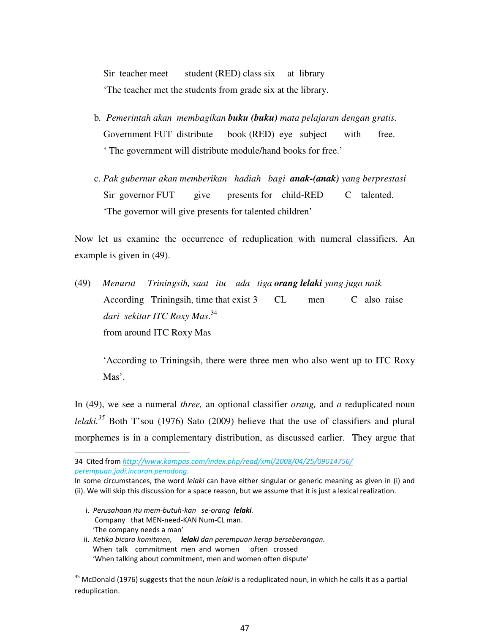Sir teacher meet student (RED) class six at library 'The teacher met the students from grade six at the library.

- b*. Pemerintah akan membagikan buku (buku) mata pelajaran dengan gratis.*  Government FUT distribute book (RED) eye subject with free. ' The government will distribute module/hand books for free.'
- c. *Pak gubernur akan memberikan hadiah bagi anak-(anak) yang berprestasi*  Sir governor FUT give presents for child-RED C talented. 'The governor will give presents for talented children'

Now let us examine the occurrence of reduplication with numeral classifiers. An example is given in (49).

(49) *Menurut Triningsih, saat itu ada tiga orang lelaki yang juga naik*  According Triningsih, time that exist 3 CL men C also raise *dari sekitar ITC Roxy Mas*. 34 from around ITC Roxy Mas

'According to Triningsih, there were three men who also went up to ITC Roxy Mas'.

In (49), we see a numeral *three,* an optional classifier *orang,* and *a* reduplicated noun *lelaki.<sup>35</sup>* Both T'sou (1976) Sato (2009) believe that the use of classifiers and plural morphemes is in a complementary distribution, as discussed earlier. They argue that

i. Perusahaan itu mem-butuh-kan se-orang lelaki. Company that MEN-need-KAN Num-CL man. 'The company needs a man'

l

ii. Ketika bicara komitmen, lelaki dan perempuan kerap berseberangan. When talk commitment men and women often crossed 'When talking about commitment, men and women often dispute'

<sup>34</sup> Cited from http://www.kompas.com/index.php/read/xml/2008/04/25/09014756/ perempuan.jadi.incaran.penodong.

In some circumstances, the word *lelaki* can have either singular or generic meaning as given in (i) and (ii). We will skip this discussion for a space reason, but we assume that it is just a lexical realization.

<sup>&</sup>lt;sup>35</sup> McDonald (1976) suggests that the noun *lelaki* is a reduplicated noun, in which he calls it as a partial reduplication.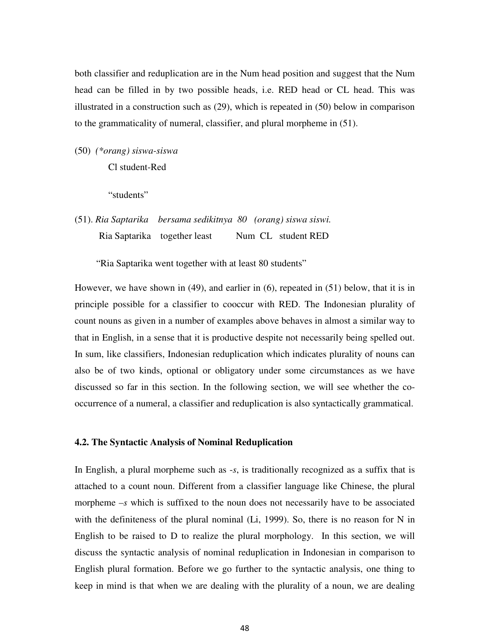both classifier and reduplication are in the Num head position and suggest that the Num head can be filled in by two possible heads, i.e. RED head or CL head. This was illustrated in a construction such as (29), which is repeated in (50) below in comparison to the grammaticality of numeral, classifier, and plural morpheme in (51).

(50) *(\*orang) siswa-siswa*

Cl student-Red

"students"

(51). *Ria Saptarika bersama sedikitnya 80 (orang) siswa siswi.*  Ria Saptarika together least Num CL student RED

"Ria Saptarika went together with at least 80 students"

However, we have shown in (49), and earlier in (6), repeated in (51) below, that it is in principle possible for a classifier to cooccur with RED. The Indonesian plurality of count nouns as given in a number of examples above behaves in almost a similar way to that in English, in a sense that it is productive despite not necessarily being spelled out. In sum, like classifiers, Indonesian reduplication which indicates plurality of nouns can also be of two kinds, optional or obligatory under some circumstances as we have discussed so far in this section. In the following section, we will see whether the cooccurrence of a numeral, a classifier and reduplication is also syntactically grammatical.

#### **4.2. The Syntactic Analysis of Nominal Reduplication**

In English, a plural morpheme such as -*s*, is traditionally recognized as a suffix that is attached to a count noun. Different from a classifier language like Chinese, the plural morpheme *–s* which is suffixed to the noun does not necessarily have to be associated with the definiteness of the plural nominal (Li, 1999). So, there is no reason for N in English to be raised to D to realize the plural morphology. In this section, we will discuss the syntactic analysis of nominal reduplication in Indonesian in comparison to English plural formation. Before we go further to the syntactic analysis, one thing to keep in mind is that when we are dealing with the plurality of a noun, we are dealing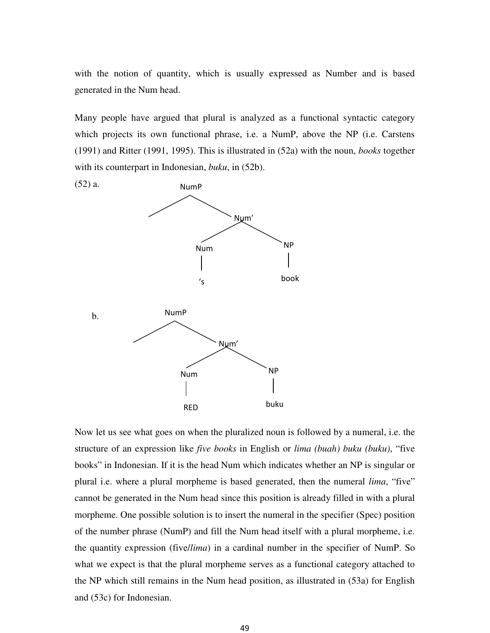with the notion of quantity, which is usually expressed as Number and is based generated in the Num head.

Many people have argued that plural is analyzed as a functional syntactic category which projects its own functional phrase, i.e. a NumP, above the NP (i.e. Carstens (1991) and Ritter (1991, 1995). This is illustrated in (52a) with the noun, *books* together with its counterpart in Indonesian, *buku*, in (52b).



Now let us see what goes on when the pluralized noun is followed by a numeral, i.e. the structure of an expression like *five books* in English or *lima (buah) buku (buku)*, "five books" in Indonesian. If it is the head Num which indicates whether an NP is singular or plural i.e. where a plural morpheme is based generated, then the numeral *lima*, "five" cannot be generated in the Num head since this position is already filled in with a plural morpheme. One possible solution is to insert the numeral in the specifier (Spec) position of the number phrase (NumP) and fill the Num head itself with a plural morpheme, i.e. the quantity expression (five/*lima*) in a cardinal number in the specifier of NumP. So what we expect is that the plural morpheme serves as a functional category attached to the NP which still remains in the Num head position, as illustrated in (53a) for English and (53c) for Indonesian.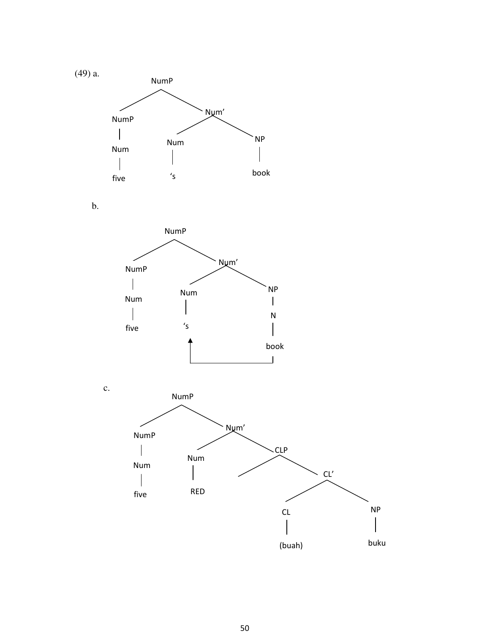

b.



c.

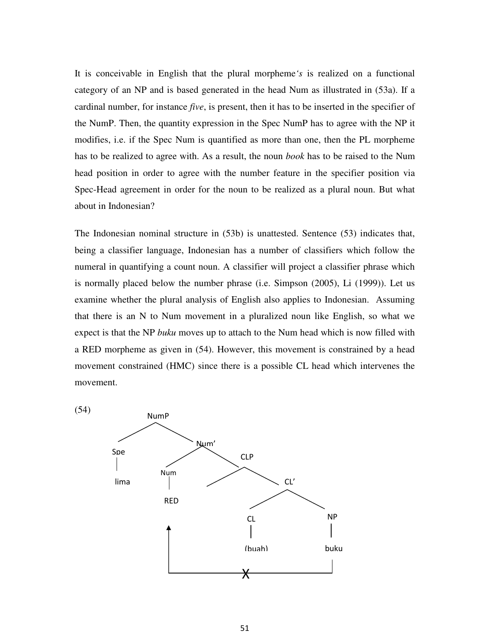It is conceivable in English that the plural morpheme*'s* is realized on a functional category of an NP and is based generated in the head Num as illustrated in (53a). If a cardinal number, for instance *five*, is present, then it has to be inserted in the specifier of the NumP. Then, the quantity expression in the Spec NumP has to agree with the NP it modifies, i.e. if the Spec Num is quantified as more than one, then the PL morpheme has to be realized to agree with. As a result, the noun *book* has to be raised to the Num head position in order to agree with the number feature in the specifier position via Spec-Head agreement in order for the noun to be realized as a plural noun. But what about in Indonesian?

The Indonesian nominal structure in (53b) is unattested. Sentence (53) indicates that, being a classifier language, Indonesian has a number of classifiers which follow the numeral in quantifying a count noun. A classifier will project a classifier phrase which is normally placed below the number phrase (i.e. Simpson (2005), Li (1999)). Let us examine whether the plural analysis of English also applies to Indonesian. Assuming that there is an N to Num movement in a pluralized noun like English, so what we expect is that the NP *buku* moves up to attach to the Num head which is now filled with a RED morpheme as given in (54). However, this movement is constrained by a head movement constrained (HMC) since there is a possible CL head which intervenes the movement.

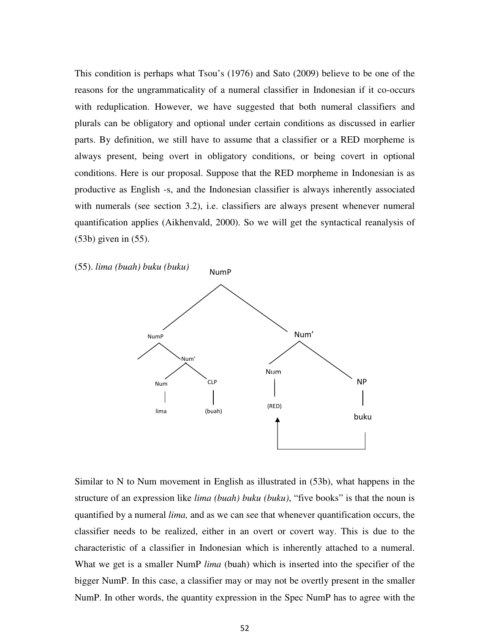This condition is perhaps what Tsou's (1976) and Sato (2009) believe to be one of the reasons for the ungrammaticality of a numeral classifier in Indonesian if it co-occurs with reduplication. However, we have suggested that both numeral classifiers and plurals can be obligatory and optional under certain conditions as discussed in earlier parts. By definition, we still have to assume that a classifier or a RED morpheme is always present, being overt in obligatory conditions, or being covert in optional conditions. Here is our proposal. Suppose that the RED morpheme in Indonesian is as productive as English -s, and the Indonesian classifier is always inherently associated with numerals (see section 3.2), i.e. classifiers are always present whenever numeral quantification applies (Aikhenvald, 2000). So we will get the syntactical reanalysis of (53b) given in (55).

(55). *lima (buah) buku (buku)*



Similar to N to Num movement in English as illustrated in (53b), what happens in the structure of an expression like *lima (buah) buku (buku)*, "five books" is that the noun is quantified by a numeral *lima,* and as we can see that whenever quantification occurs, the classifier needs to be realized, either in an overt or covert way. This is due to the characteristic of a classifier in Indonesian which is inherently attached to a numeral. What we get is a smaller NumP *lima* (buah) which is inserted into the specifier of the bigger NumP. In this case, a classifier may or may not be overtly present in the smaller NumP. In other words, the quantity expression in the Spec NumP has to agree with the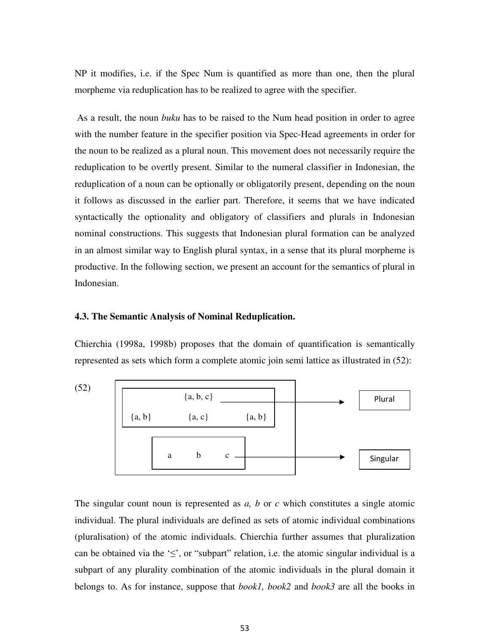NP it modifies, i.e. if the Spec Num is quantified as more than one, then the plural morpheme via reduplication has to be realized to agree with the specifier.

 As a result, the noun *buku* has to be raised to the Num head position in order to agree with the number feature in the specifier position via Spec-Head agreements in order for the noun to be realized as a plural noun. This movement does not necessarily require the reduplication to be overtly present. Similar to the numeral classifier in Indonesian, the reduplication of a noun can be optionally or obligatorily present, depending on the noun it follows as discussed in the earlier part. Therefore, it seems that we have indicated syntactically the optionality and obligatory of classifiers and plurals in Indonesian nominal constructions. This suggests that Indonesian plural formation can be analyzed in an almost similar way to English plural syntax, in a sense that its plural morpheme is productive. In the following section, we present an account for the semantics of plural in Indonesian.

## **4.3. The Semantic Analysis of Nominal Reduplication.**

Chierchia (1998a, 1998b) proposes that the domain of quantification is semantically represented as sets which form a complete atomic join semi lattice as illustrated in (52):



The singular count noun is represented as *a, b* or *c* which constitutes a single atomic individual. The plural individuals are defined as sets of atomic individual combinations (pluralisation) of the atomic individuals. Chierchia further assumes that pluralization can be obtained via the ' $\leq$ ', or "subpart" relation, i.e. the atomic singular individual is a subpart of any plurality combination of the atomic individuals in the plural domain it belongs to. As for instance, suppose that *book1, book2* and *book3* are all the books in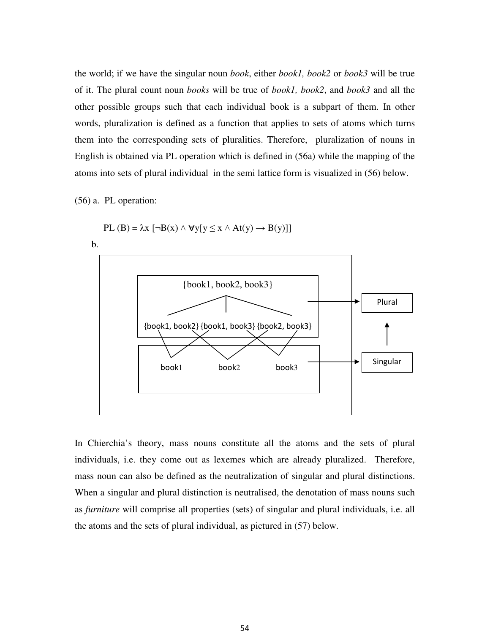the world; if we have the singular noun *book*, either *book1, book2* or *book3* will be true of it. The plural count noun *books* will be true of *book1, book2*, and *book3* and all the other possible groups such that each individual book is a subpart of them. In other words, pluralization is defined as a function that applies to sets of atoms which turns them into the corresponding sets of pluralities. Therefore, pluralization of nouns in English is obtained via PL operation which is defined in (56a) while the mapping of the atoms into sets of plural individual in the semi lattice form is visualized in (56) below.

(56) a. PL operation:



$$
PL(B) = \lambda x \, [\neg B(x) \land \forall y [y \le x \land At(y) \rightarrow B(y)]]
$$

In Chierchia's theory, mass nouns constitute all the atoms and the sets of plural individuals, i.e. they come out as lexemes which are already pluralized. Therefore, mass noun can also be defined as the neutralization of singular and plural distinctions. When a singular and plural distinction is neutralised, the denotation of mass nouns such as *furniture* will comprise all properties (sets) of singular and plural individuals, i.e. all the atoms and the sets of plural individual, as pictured in (57) below.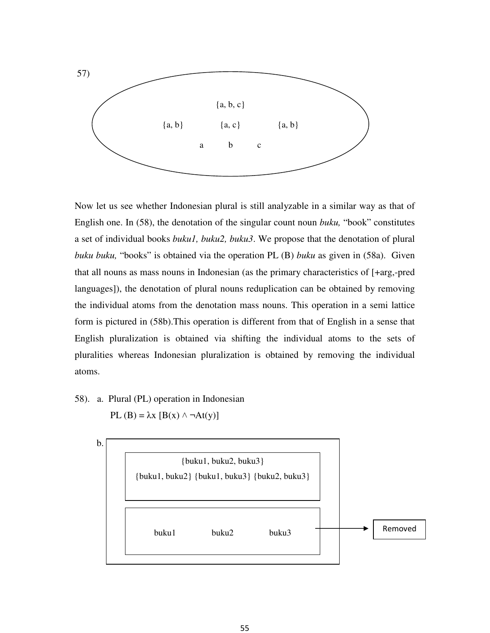

Now let us see whether Indonesian plural is still analyzable in a similar way as that of English one. In (58), the denotation of the singular count noun *buku,* "book" constitutes a set of individual books *buku1, buku2, buku3*. We propose that the denotation of plural *buku buku,* "books" is obtained via the operation PL (B) *buku* as given in (58a). Given that all nouns as mass nouns in Indonesian (as the primary characteristics of [+arg,-pred languages]), the denotation of plural nouns reduplication can be obtained by removing the individual atoms from the denotation mass nouns. This operation in a semi lattice form is pictured in (58b).This operation is different from that of English in a sense that English pluralization is obtained via shifting the individual atoms to the sets of pluralities whereas Indonesian pluralization is obtained by removing the individual atoms.

58). a. Plural (PL) operation in Indonesian PL  $(B) = \lambda x [B(x) \land \neg At(y)]$ 

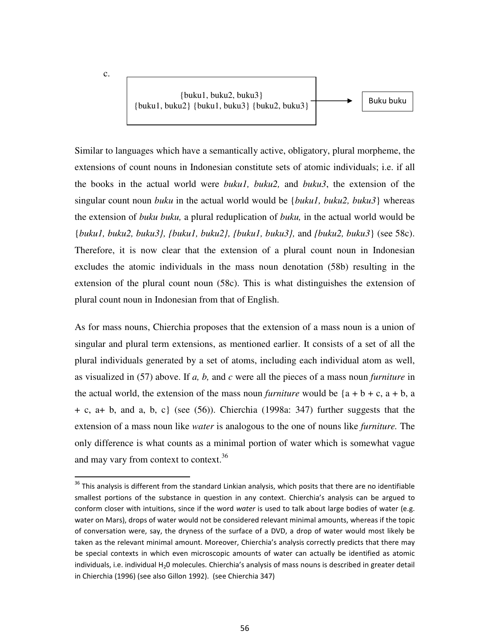c.

l



Similar to languages which have a semantically active, obligatory, plural morpheme, the extensions of count nouns in Indonesian constitute sets of atomic individuals; i.e. if all the books in the actual world were *buku1, buku2,* and *buku3*, the extension of the singular count noun *buku* in the actual world would be {*buku1, buku2, buku3*} whereas the extension of *buku buku,* a plural reduplication of *buku,* in the actual world would be {*buku1, buku2, buku3}, {buku1, buku2}, {buku1, buku3},* and *{buku2, buku3*} (see 58c). Therefore, it is now clear that the extension of a plural count noun in Indonesian excludes the atomic individuals in the mass noun denotation (58b) resulting in the extension of the plural count noun (58c). This is what distinguishes the extension of plural count noun in Indonesian from that of English.

As for mass nouns, Chierchia proposes that the extension of a mass noun is a union of singular and plural term extensions, as mentioned earlier. It consists of a set of all the plural individuals generated by a set of atoms, including each individual atom as well, as visualized in (57) above. If *a, b,* and *c* were all the pieces of a mass noun *furniture* in the actual world, the extension of the mass noun *furniture* would be  ${a + b + c, a + b, a}$ + c, a+ b, and a, b, c} (see (56)). Chierchia (1998a: 347) further suggests that the extension of a mass noun like *water* is analogous to the one of nouns like *furniture.* The only difference is what counts as a minimal portion of water which is somewhat vague and may vary from context to context.<sup>36</sup>

 $36$  This analysis is different from the standard Linkian analysis, which posits that there are no identifiable smallest portions of the substance in question in any context. Chierchia's analysis can be argued to conform closer with intuitions, since if the word water is used to talk about large bodies of water (e.g. water on Mars), drops of water would not be considered relevant minimal amounts, whereas if the topic of conversation were, say, the dryness of the surface of a DVD, a drop of water would most likely be taken as the relevant minimal amount. Moreover, Chierchia's analysis correctly predicts that there may be special contexts in which even microscopic amounts of water can actually be identified as atomic individuals, i.e. individual H<sub>2</sub>0 molecules. Chierchia's analysis of mass nouns is described in greater detail in Chierchia (1996) (see also Gillon 1992). (see Chierchia 347)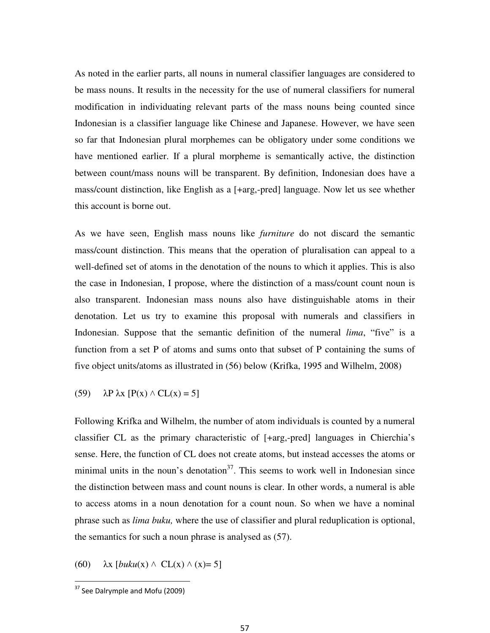As noted in the earlier parts, all nouns in numeral classifier languages are considered to be mass nouns. It results in the necessity for the use of numeral classifiers for numeral modification in individuating relevant parts of the mass nouns being counted since Indonesian is a classifier language like Chinese and Japanese. However, we have seen so far that Indonesian plural morphemes can be obligatory under some conditions we have mentioned earlier. If a plural morpheme is semantically active, the distinction between count/mass nouns will be transparent. By definition, Indonesian does have a mass/count distinction, like English as a [+arg,-pred] language. Now let us see whether this account is borne out.

As we have seen, English mass nouns like *furniture* do not discard the semantic mass/count distinction. This means that the operation of pluralisation can appeal to a well-defined set of atoms in the denotation of the nouns to which it applies. This is also the case in Indonesian, I propose, where the distinction of a mass/count count noun is also transparent. Indonesian mass nouns also have distinguishable atoms in their denotation. Let us try to examine this proposal with numerals and classifiers in Indonesian. Suppose that the semantic definition of the numeral *lima*, "five" is a function from a set P of atoms and sums onto that subset of P containing the sums of five object units/atoms as illustrated in (56) below (Krifka, 1995 and Wilhelm, 2008)

(59) 
$$
\lambda P \lambda x [P(x) \wedge CL(x) = 5]
$$

Following Krifka and Wilhelm, the number of atom individuals is counted by a numeral classifier CL as the primary characteristic of [+arg,-pred] languages in Chierchia's sense. Here, the function of CL does not create atoms, but instead accesses the atoms or minimal units in the noun's denotation<sup>37</sup>. This seems to work well in Indonesian since the distinction between mass and count nouns is clear. In other words, a numeral is able to access atoms in a noun denotation for a count noun. So when we have a nominal phrase such as *lima buku,* where the use of classifier and plural reduplication is optional, the semantics for such a noun phrase is analysed as (57).

(60)  $\lambda x$  [*buku*(x)  $\land$  CL(x)  $\land$  (x)= 5]

<sup>&</sup>lt;sup>37</sup> See Dalrymple and Mofu (2009)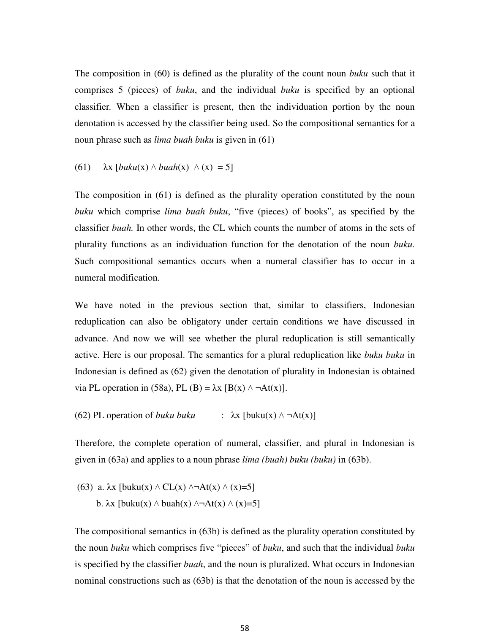The composition in (60) is defined as the plurality of the count noun *buku* such that it comprises 5 (pieces) of *buku*, and the individual *buku* is specified by an optional classifier*.* When a classifier is present, then the individuation portion by the noun denotation is accessed by the classifier being used. So the compositional semantics for a noun phrase such as *lima buah buku* is given in (61)

(61)  $\lambda x$  [*buku*(x)  $\wedge$  *buah*(x)  $\wedge$  (x) = 5]

The composition in (61) is defined as the plurality operation constituted by the noun *buku* which comprise *lima buah buku*, "five (pieces) of books", as specified by the classifier *buah.* In other words, the CL which counts the number of atoms in the sets of plurality functions as an individuation function for the denotation of the noun *buku*. Such compositional semantics occurs when a numeral classifier has to occur in a numeral modification.

We have noted in the previous section that, similar to classifiers, Indonesian reduplication can also be obligatory under certain conditions we have discussed in advance. And now we will see whether the plural reduplication is still semantically active. Here is our proposal. The semantics for a plural reduplication like *buku buku* in Indonesian is defined as (62) given the denotation of plurality in Indonesian is obtained via PL operation in (58a), PL (B) =  $\lambda$ x [B(x)  $\land \neg At(x)$ ].

(62) PL operation of *buku buku* : 
$$
\lambda x
$$
 [buku(x)  $\land \neg At(x)$ ]

Therefore, the complete operation of numeral, classifier, and plural in Indonesian is given in (63a) and applies to a noun phrase *lima (buah) buku (buku)* in (63b).

(63) a.  $\lambda x$  [buku(x)  $\wedge$  CL(x)  $\wedge \neg At(x) \wedge (x)=5$ ] b.  $\lambda x$  [buku(x)  $\wedge$  buah(x)  $\wedge \neg At(x) \wedge (x)=5$ ]

The compositional semantics in (63b) is defined as the plurality operation constituted by the noun *buku* which comprises five "pieces" of *buku*, and such that the individual *buku* is specified by the classifier *buah*, and the noun is pluralized. What occurs in Indonesian nominal constructions such as (63b) is that the denotation of the noun is accessed by the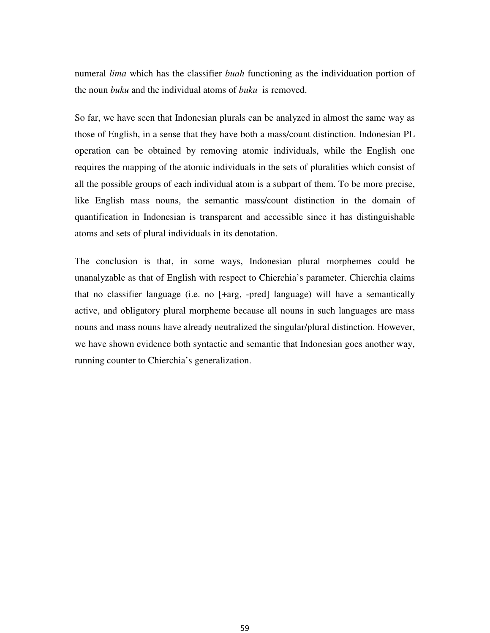numeral *lima* which has the classifier *buah* functioning as the individuation portion of the noun *buku* and the individual atoms of *buku* is removed.

So far, we have seen that Indonesian plurals can be analyzed in almost the same way as those of English, in a sense that they have both a mass/count distinction. Indonesian PL operation can be obtained by removing atomic individuals, while the English one requires the mapping of the atomic individuals in the sets of pluralities which consist of all the possible groups of each individual atom is a subpart of them. To be more precise, like English mass nouns, the semantic mass/count distinction in the domain of quantification in Indonesian is transparent and accessible since it has distinguishable atoms and sets of plural individuals in its denotation.

The conclusion is that, in some ways, Indonesian plural morphemes could be unanalyzable as that of English with respect to Chierchia's parameter. Chierchia claims that no classifier language (i.e. no [+arg, -pred] language) will have a semantically active, and obligatory plural morpheme because all nouns in such languages are mass nouns and mass nouns have already neutralized the singular/plural distinction. However, we have shown evidence both syntactic and semantic that Indonesian goes another way, running counter to Chierchia's generalization.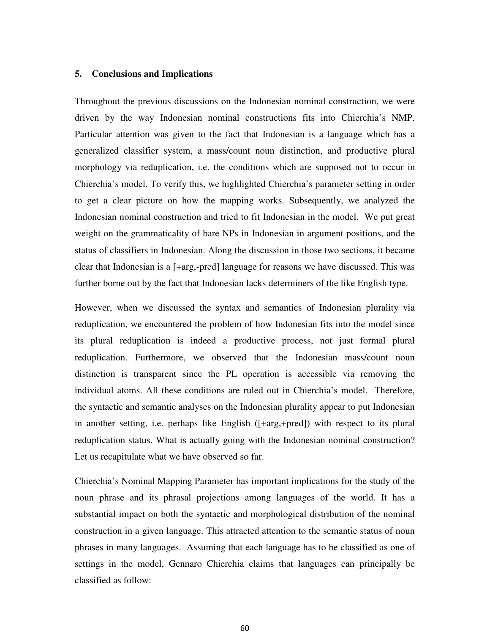#### **5. Conclusions and Implications**

Throughout the previous discussions on the Indonesian nominal construction, we were driven by the way Indonesian nominal constructions fits into Chierchia's NMP. Particular attention was given to the fact that Indonesian is a language which has a generalized classifier system, a mass/count noun distinction, and productive plural morphology via reduplication, i.e. the conditions which are supposed not to occur in Chierchia's model. To verify this, we highlighted Chierchia's parameter setting in order to get a clear picture on how the mapping works. Subsequently, we analyzed the Indonesian nominal construction and tried to fit Indonesian in the model. We put great weight on the grammaticality of bare NPs in Indonesian in argument positions, and the status of classifiers in Indonesian. Along the discussion in those two sections, it became clear that Indonesian is a [+arg,-pred] language for reasons we have discussed. This was further borne out by the fact that Indonesian lacks determiners of the like English type.

However, when we discussed the syntax and semantics of Indonesian plurality via reduplication, we encountered the problem of how Indonesian fits into the model since its plural reduplication is indeed a productive process, not just formal plural reduplication. Furthermore, we observed that the Indonesian mass/count noun distinction is transparent since the PL operation is accessible via removing the individual atoms. All these conditions are ruled out in Chierchia's model. Therefore, the syntactic and semantic analyses on the Indonesian plurality appear to put Indonesian in another setting, i.e. perhaps like English ([+arg,+pred]) with respect to its plural reduplication status. What is actually going with the Indonesian nominal construction? Let us recapitulate what we have observed so far.

Chierchia's Nominal Mapping Parameter has important implications for the study of the noun phrase and its phrasal projections among languages of the world. It has a substantial impact on both the syntactic and morphological distribution of the nominal construction in a given language. This attracted attention to the semantic status of noun phrases in many languages. Assuming that each language has to be classified as one of settings in the model, Gennaro Chierchia claims that languages can principally be classified as follow: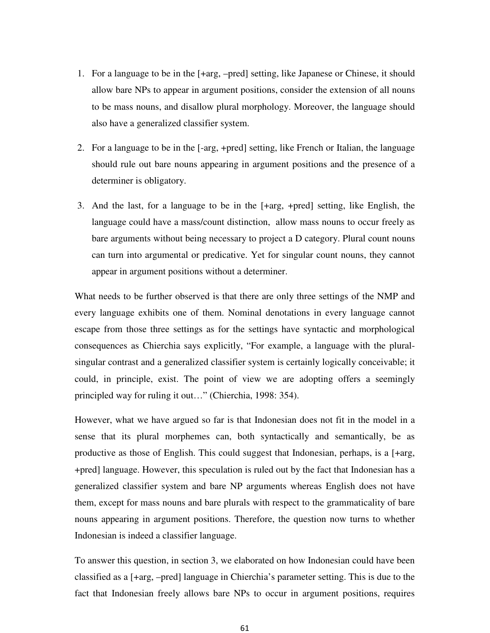- 1. For a language to be in the [+arg, –pred] setting, like Japanese or Chinese, it should allow bare NPs to appear in argument positions, consider the extension of all nouns to be mass nouns, and disallow plural morphology. Moreover, the language should also have a generalized classifier system.
- 2. For a language to be in the [-arg, +pred] setting, like French or Italian, the language should rule out bare nouns appearing in argument positions and the presence of a determiner is obligatory.
- 3. And the last, for a language to be in the [+arg, +pred] setting, like English, the language could have a mass/count distinction, allow mass nouns to occur freely as bare arguments without being necessary to project a D category. Plural count nouns can turn into argumental or predicative. Yet for singular count nouns, they cannot appear in argument positions without a determiner.

What needs to be further observed is that there are only three settings of the NMP and every language exhibits one of them. Nominal denotations in every language cannot escape from those three settings as for the settings have syntactic and morphological consequences as Chierchia says explicitly, "For example, a language with the pluralsingular contrast and a generalized classifier system is certainly logically conceivable; it could, in principle, exist. The point of view we are adopting offers a seemingly principled way for ruling it out…" (Chierchia, 1998: 354).

However, what we have argued so far is that Indonesian does not fit in the model in a sense that its plural morphemes can, both syntactically and semantically, be as productive as those of English. This could suggest that Indonesian, perhaps, is a  $[+arg,$ +pred] language. However, this speculation is ruled out by the fact that Indonesian has a generalized classifier system and bare NP arguments whereas English does not have them, except for mass nouns and bare plurals with respect to the grammaticality of bare nouns appearing in argument positions. Therefore, the question now turns to whether Indonesian is indeed a classifier language.

To answer this question, in section 3, we elaborated on how Indonesian could have been classified as a [+arg, –pred] language in Chierchia's parameter setting. This is due to the fact that Indonesian freely allows bare NPs to occur in argument positions, requires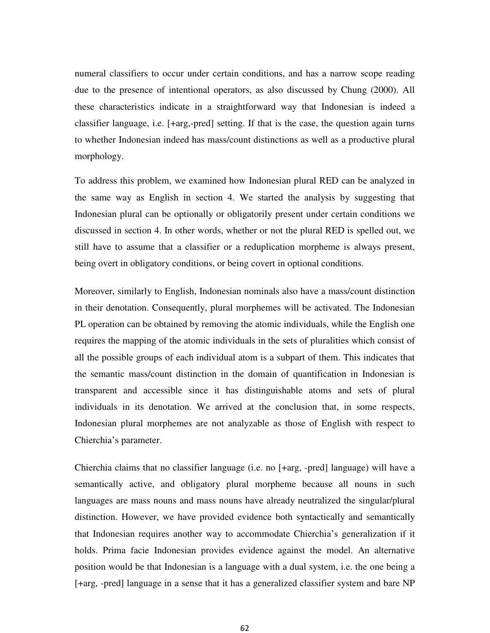numeral classifiers to occur under certain conditions, and has a narrow scope reading due to the presence of intentional operators, as also discussed by Chung (2000). All these characteristics indicate in a straightforward way that Indonesian is indeed a classifier language, i.e. [+arg,-pred] setting. If that is the case, the question again turns to whether Indonesian indeed has mass/count distinctions as well as a productive plural morphology.

To address this problem, we examined how Indonesian plural RED can be analyzed in the same way as English in section 4. We started the analysis by suggesting that Indonesian plural can be optionally or obligatorily present under certain conditions we discussed in section 4. In other words, whether or not the plural RED is spelled out, we still have to assume that a classifier or a reduplication morpheme is always present, being overt in obligatory conditions, or being covert in optional conditions.

Moreover, similarly to English, Indonesian nominals also have a mass/count distinction in their denotation. Consequently, plural morphemes will be activated. The Indonesian PL operation can be obtained by removing the atomic individuals, while the English one requires the mapping of the atomic individuals in the sets of pluralities which consist of all the possible groups of each individual atom is a subpart of them. This indicates that the semantic mass/count distinction in the domain of quantification in Indonesian is transparent and accessible since it has distinguishable atoms and sets of plural individuals in its denotation. We arrived at the conclusion that, in some respects, Indonesian plural morphemes are not analyzable as those of English with respect to Chierchia's parameter.

Chierchia claims that no classifier language (i.e. no [+arg, -pred] language) will have a semantically active, and obligatory plural morpheme because all nouns in such languages are mass nouns and mass nouns have already neutralized the singular/plural distinction. However, we have provided evidence both syntactically and semantically that Indonesian requires another way to accommodate Chierchia's generalization if it holds. Prima facie Indonesian provides evidence against the model. An alternative position would be that Indonesian is a language with a dual system, i.e. the one being a [+arg, -pred] language in a sense that it has a generalized classifier system and bare NP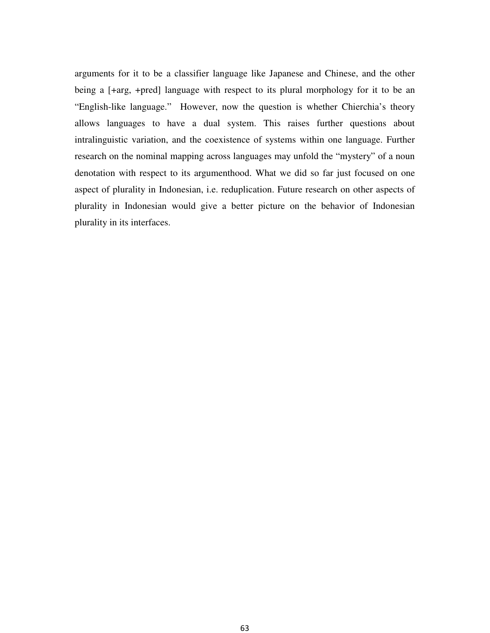arguments for it to be a classifier language like Japanese and Chinese, and the other being a [+arg, +pred] language with respect to its plural morphology for it to be an "English-like language." However, now the question is whether Chierchia's theory allows languages to have a dual system. This raises further questions about intralinguistic variation, and the coexistence of systems within one language. Further research on the nominal mapping across languages may unfold the "mystery" of a noun denotation with respect to its argumenthood. What we did so far just focused on one aspect of plurality in Indonesian, i.e. reduplication. Future research on other aspects of plurality in Indonesian would give a better picture on the behavior of Indonesian plurality in its interfaces.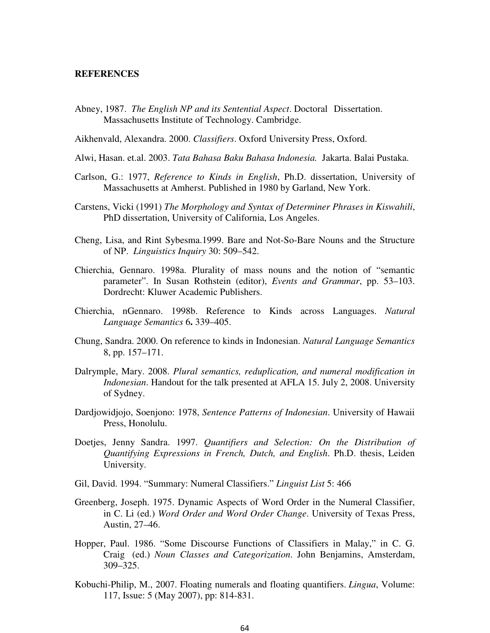#### **REFERENCES**

Abney, 1987. *The English NP and its Sentential Aspect*. Doctoral Dissertation. Massachusetts Institute of Technology. Cambridge.

Aikhenvald, Alexandra. 2000. *Classifiers*. Oxford University Press, Oxford.

- Alwi, Hasan. et.al. 2003. *Tata Bahasa Baku Bahasa Indonesia.* Jakarta. Balai Pustaka.
- Carlson, G.: 1977, *Reference to Kinds in English*, Ph.D. dissertation, University of Massachusetts at Amherst. Published in 1980 by Garland, New York.
- Carstens, Vicki (1991) *The Morphology and Syntax of Determiner Phrases in Kiswahili*, PhD dissertation, University of California, Los Angeles.
- Cheng, Lisa, and Rint Sybesma.1999. Bare and Not-So-Bare Nouns and the Structure of NP. *Linguistics Inquiry* 30: 509–542.
- Chierchia, Gennaro. 1998a. Plurality of mass nouns and the notion of "semantic parameter". In Susan Rothstein (editor), *Events and Grammar*, pp. 53–103. Dordrecht: Kluwer Academic Publishers.
- Chierchia, nGennaro. 1998b. Reference to Kinds across Languages. *Natural Language Semantics* 6**.** 339–405.
- Chung, Sandra. 2000. On reference to kinds in Indonesian. *Natural Language Semantics*  8, pp. 157–171.
- Dalrymple, Mary. 2008. *Plural semantics, reduplication, and numeral modification in Indonesian*. Handout for the talk presented at AFLA 15. July 2, 2008. University of Sydney.
- Dardjowidjojo, Soenjono: 1978, *Sentence Patterns of Indonesian*. University of Hawaii Press, Honolulu.
- Doetjes, Jenny Sandra. 1997. *Quantifiers and Selection: On the Distribution of Quantifying Expressions in French, Dutch, and English*. Ph.D. thesis, Leiden University.
- Gil, David. 1994. "Summary: Numeral Classifiers." *Linguist List* 5: 466
- Greenberg, Joseph. 1975. Dynamic Aspects of Word Order in the Numeral Classifier, in C. Li (ed.) *Word Order and Word Order Change*. University of Texas Press, Austin, 27–46.
- Hopper, Paul. 1986. "Some Discourse Functions of Classifiers in Malay," in C. G. Craig (ed.) *Noun Classes and Categorization*. John Benjamins, Amsterdam, 309–325.
- Kobuchi-Philip, M., 2007. Floating numerals and floating quantifiers. *Lingua*, Volume: 117, Issue: 5 (May 2007), pp: 814-831.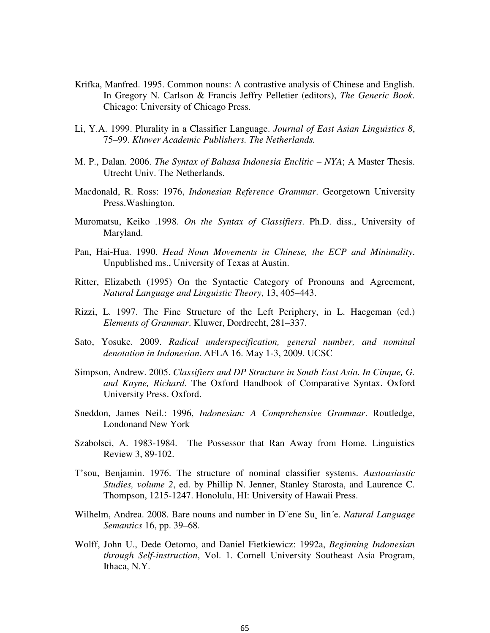- Krifka, Manfred. 1995. Common nouns: A contrastive analysis of Chinese and English. In Gregory N. Carlson & Francis Jeffry Pelletier (editors), *The Generic Book*. Chicago: University of Chicago Press.
- Li, Y.A. 1999. Plurality in a Classifier Language. *Journal of East Asian Linguistics 8*, 75–99. *Kluwer Academic Publishers. The Netherlands.*
- M. P., Dalan. 2006. *The Syntax of Bahasa Indonesia Enclitic NYA*; A Master Thesis. Utrecht Univ. The Netherlands.
- Macdonald, R. Ross: 1976, *Indonesian Reference Grammar*. Georgetown University Press.Washington.
- Muromatsu, Keiko .1998. *On the Syntax of Classifiers*. Ph.D. diss., University of Maryland.
- Pan, Hai-Hua. 1990. *Head Noun Movements in Chinese, the ECP and Minimality*. Unpublished ms., University of Texas at Austin.
- Ritter, Elizabeth (1995) On the Syntactic Category of Pronouns and Agreement, *Natural Language and Linguistic Theory*, 13, 405–443.
- Rizzi, L. 1997. The Fine Structure of the Left Periphery, in L. Haegeman (ed.) *Elements of Grammar*. Kluwer, Dordrecht, 281–337.
- Sato, Yosuke. 2009. *Radical underspecification, general number, and nominal denotation in Indonesian*. AFLA 16. May 1-3, 2009. UCSC
- Simpson, Andrew. 2005. *Classifiers and DP Structure in South East Asia. In Cinque, G. and Kayne, Richard*. The Oxford Handbook of Comparative Syntax. Oxford University Press. Oxford.
- Sneddon, James Neil.: 1996, *Indonesian: A Comprehensive Grammar*. Routledge, Londonand New York
- Szabolsci, A. 1983-1984. The Possessor that Ran Away from Home. Linguistics Review 3, 89-102.
- T'sou, Benjamin. 1976. The structure of nominal classifier systems. *Austoasiastic Studies, volume 2*, ed. by Phillip N. Jenner, Stanley Starosta, and Laurence C. Thompson, 1215-1247. Honolulu, HI: University of Hawaii Press.
- Wilhelm, Andrea. 2008. Bare nouns and number in D¨ene Su˛ lin´e. *Natural Language Semantics* 16, pp. 39–68.
- Wolff, John U., Dede Oetomo, and Daniel Fietkiewicz: 1992a, *Beginning Indonesian through Self-instruction*, Vol. 1. Cornell University Southeast Asia Program, Ithaca, N.Y.